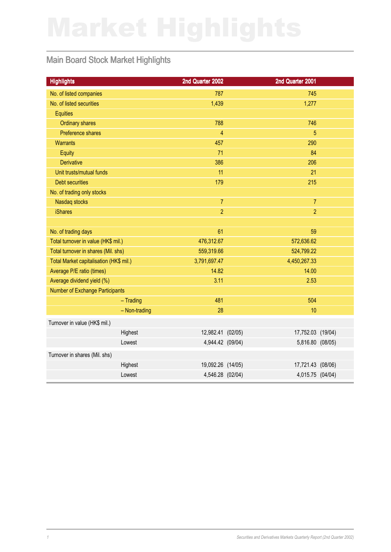## Main Board Stock Market Highlights

| <b>Highlights</b>                       |               | 2nd Quarter 2002  | 2nd Quarter 2001  |  |
|-----------------------------------------|---------------|-------------------|-------------------|--|
| No. of listed companies                 |               | 787               | 745               |  |
| No. of listed securities                |               | 1,439             | 1,277             |  |
| <b>Equities</b>                         |               |                   |                   |  |
| <b>Ordinary shares</b>                  |               | 788               | 746               |  |
| Preference shares                       |               | $\overline{4}$    | $\overline{5}$    |  |
| <b>Warrants</b>                         |               | 457               | 290               |  |
| Equity                                  |               | 71                | 84                |  |
| <b>Derivative</b>                       |               | 386               | 206               |  |
| Unit trusts/mutual funds                |               | 11                | 21                |  |
| <b>Debt securities</b>                  |               | 179               | 215               |  |
| No. of trading only stocks              |               |                   |                   |  |
| Nasdaq stocks                           |               | $\overline{7}$    | $\overline{7}$    |  |
| <b>iShares</b>                          |               | $\overline{2}$    | $\overline{2}$    |  |
|                                         |               |                   |                   |  |
| No. of trading days                     |               | 61                | 59                |  |
| Total turnover in value (HK\$ mil.)     |               | 476,312.67        | 572,636.62        |  |
| Total turnover in shares (Mil. shs)     |               | 559,319.66        | 524,799.22        |  |
| Total Market capitalisation (HK\$ mil.) |               | 3,791,697.47      | 4,450,267.33      |  |
| Average P/E ratio (times)               |               | 14.82             | 14.00             |  |
| Average dividend yield (%)              |               | 3.11              | 2.53              |  |
| Number of Exchange Participants         |               |                   |                   |  |
|                                         | $-$ Trading   | 481               | 504               |  |
|                                         | - Non-trading | 28                | 10                |  |
| Turnover in value (HK\$ mil.)           |               |                   |                   |  |
|                                         | Highest       | 12,982.41 (02/05) | 17,752.03 (19/04) |  |
|                                         | Lowest        | 4,944.42 (09/04)  | 5,816.80 (08/05)  |  |
| Turnover in shares (Mil. shs)           |               |                   |                   |  |
|                                         | Highest       | 19,092.26 (14/05) | 17,721.43 (08/06) |  |
|                                         | Lowest        | 4,546.28 (02/04)  | 4,015.75 (04/04)  |  |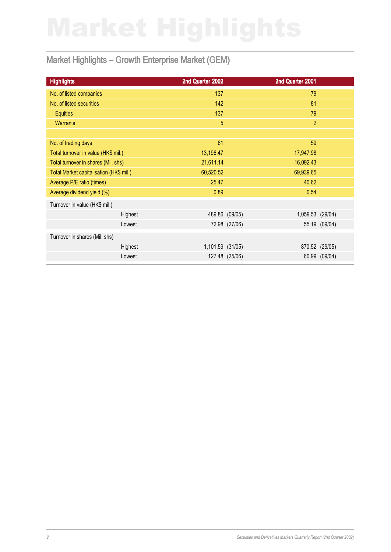## Market Highlights – Growth Enterprise Market (GEM)

| <b>Highlights</b>                       | 2nd Quarter 2002 | 2nd Quarter 2001 |                  |
|-----------------------------------------|------------------|------------------|------------------|
| No. of listed companies                 | 137              | 79               |                  |
| No. of listed securities                | 142              | 81               |                  |
| <b>Equities</b>                         | 137              | 79               |                  |
| <b>Warrants</b>                         | $\overline{5}$   |                  | $\overline{2}$   |
|                                         |                  |                  |                  |
| No. of trading days                     | 61               | 59               |                  |
| Total turnover in value (HK\$ mil.)     | 13,196.47        | 17,947.98        |                  |
| Total turnover in shares (Mil. shs)     | 21,611.14        | 16,092.43        |                  |
| Total Market capitalisation (HK\$ mil.) | 60,520.52        | 69,939.65        |                  |
| Average P/E ratio (times)               | 25.47            | 40.62            |                  |
| Average dividend yield (%)              | 0.89             | 0.54             |                  |
| Turnover in value (HK\$ mil.)           |                  |                  |                  |
| Highest                                 |                  | 489.86 (09/05)   | 1,059.53 (29/04) |
| Lowest                                  |                  | 72.98 (27/06)    | 55.19 (09/04)    |
| Turnover in shares (Mil. shs)           |                  |                  |                  |
| Highest                                 | 1,101.59 (31/05) |                  | 870.52 (29/05)   |
| Lowest                                  |                  | 127.48 (25/06)   | 60.99 (09/04)    |
|                                         |                  |                  |                  |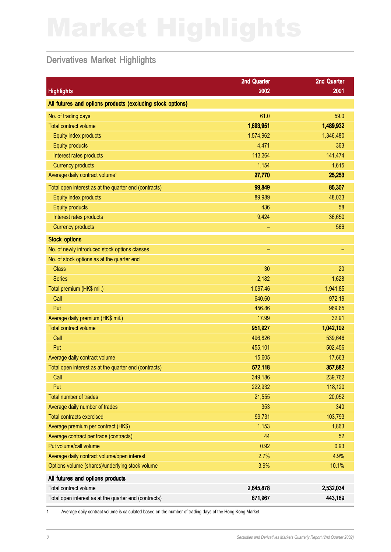## Derivatives Market Highlights

|                                                            | 2nd Quarter | 2nd Quarter |
|------------------------------------------------------------|-------------|-------------|
| <b>Highlights</b>                                          | 2002        | 2001        |
| All futures and options products (excluding stock options) |             |             |
| No. of trading days                                        | 61.0        | 59.0        |
| <b>Total contract volume</b>                               | 1,693,951   | 1,489,932   |
| Equity index products                                      | 1,574,962   | 1,346,480   |
| <b>Equity products</b>                                     | 4,471       | 363         |
| Interest rates products                                    | 113,364     | 141,474     |
| <b>Currency products</b>                                   | 1,154       | 1,615       |
| Average daily contract volume <sup>1</sup>                 | 27,770      | 25,253      |
| Total open interest as at the quarter end (contracts)      | 99,849      | 85,307      |
| Equity index products                                      | 89,989      | 48,033      |
| <b>Equity products</b>                                     | 436         | 58          |
| Interest rates products                                    | 9,424       | 36,650      |
| <b>Currency products</b>                                   | -           | 566         |
| <b>Stock options</b>                                       |             |             |
| No. of newly introduced stock options classes              | -           | -           |
| No. of stock options as at the quarter end                 |             |             |
| <b>Class</b>                                               | 30          | 20          |
| <b>Series</b>                                              | 2,182       | 1,628       |
| Total premium (HK\$ mil.)                                  | 1,097.46    | 1,941.85    |
| Call                                                       | 640.60      | 972.19      |
| Put                                                        | 456.86      | 969.65      |
| Average daily premium (HK\$ mil.)                          | 17.99       | 32.91       |
| <b>Total contract volume</b>                               | 951,927     | 1,042,102   |
| Call                                                       | 496,826     | 539,646     |
| Put                                                        | 455,101     | 502,456     |
| Average daily contract volume                              | 15,605      | 17,663      |
| Total open interest as at the quarter end (contracts)      | 572,118     | 357,882     |
| Call                                                       | 349,186     | 239,762     |
| Put                                                        | 222,932     | 118,120     |
| <b>Total number of trades</b>                              | 21,555      | 20,052      |
| Average daily number of trades                             | 353         | 340         |
| <b>Total contracts exercised</b>                           | 99,731      | 103,793     |
| Average premium per contract (HK\$)                        | 1,153       | 1,863       |
| Average contract per trade (contracts)                     | 44          | 52          |
| Put volume/call volume                                     | 0.92        | 0.93        |
| Average daily contract volume/open interest                | 2.7%        | 4.9%        |
| Options volume (shares)/underlying stock volume            | 3.9%        | 10.1%       |
| All futures and options products                           |             |             |
| Total contract volume                                      | 2,645,878   | 2,532,034   |
| Total open interest as at the quarter end (contracts)      | 671,967     | 443,189     |

1 Average daily contract volume is calculated based on the number of trading days of the Hong Kong Market.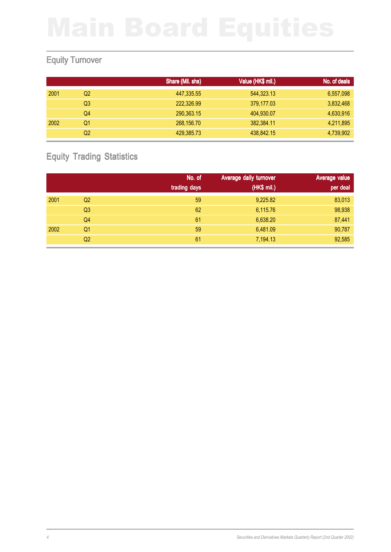## Equity Turnover

|      |    | Share (Mil. shs) | Value (HK\$ mil.) | No. of deals |
|------|----|------------------|-------------------|--------------|
| 2001 | Q2 | 447,335.55       | 544,323.13        | 6,557,098    |
|      | Q3 | 222,326.99       | 379,177.03        | 3,832,468    |
|      | Q4 | 290,363.15       | 404,930.07        | 4,630,916    |
| 2002 | Q1 | 268,156.70       | 382,384.11        | 4,211,895    |
|      | Q2 | 429,385.73       | 438,842.15        | 4,739,902    |

## Equity Trading Statistics

|      |                | No. of       | Average daily turnover | Average value |
|------|----------------|--------------|------------------------|---------------|
|      |                | trading days | (HK\$ mil.)            | per deal      |
| 2001 | Q2             | 59           | 9,225.82               | 83,013        |
|      | Q <sub>3</sub> | 62           | 6,115.76               | 98,938        |
|      | Q4             | 61           | 6,638.20               | 87,441        |
| 2002 | Q <sub>1</sub> | 59           | 6,481.09               | 90,787        |
|      | Q2             | 61           | 7,194.13               | 92,585        |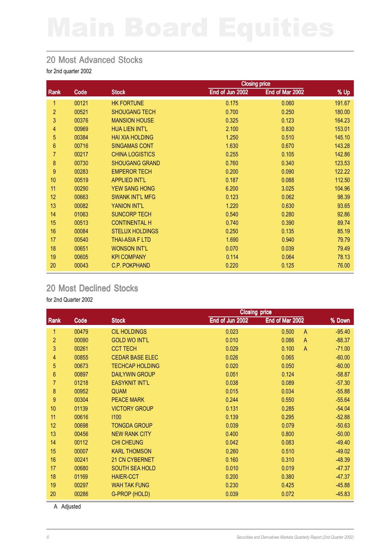### 20 Most Advanced Stocks

for 2nd quarter 2002

|                |                   | <b>Closing price</b>   |                 |                 |        |
|----------------|-------------------|------------------------|-----------------|-----------------|--------|
| <b>Rank</b>    | Code <sup>'</sup> | <b>Stock</b>           | End of Jun 2002 | End of Mar 2002 | % Up   |
| 1              | 00121             | <b>HK FORTUNE</b>      | 0.175           | 0.060           | 191.67 |
| $\overline{2}$ | 00521             | <b>SHOUGANG TECH</b>   | 0.700           | 0.250           | 180.00 |
| 3              | 00376             | <b>MANSION HOUSE</b>   | 0.325           | 0.123           | 164.23 |
| 4              | 00969             | <b>HUA LIEN INT'L</b>  | 2.100           | 0.830           | 153.01 |
| 5              | 00384             | <b>HAI XIA HOLDING</b> | 1.250           | 0.510           | 145.10 |
| 6              | 00716             | <b>SINGAMAS CONT</b>   | 1.630           | 0.670           | 143.28 |
| 7              | 00217             | <b>CHINA LOGISTICS</b> | 0.255           | 0.105           | 142.86 |
| 8              | 00730             | <b>SHOUGANG GRAND</b>  | 0.760           | 0.340           | 123.53 |
| 9              | 00283             | <b>EMPEROR TECH</b>    | 0.200           | 0.090           | 122.22 |
| 10             | 00519             | <b>APPLIED INT'L</b>   | 0.187           | 0.088           | 112.50 |
| 11             | 00290             | <b>YEW SANG HONG</b>   | 6.200           | 3.025           | 104.96 |
| 12             | 00663             | <b>SWANK INT'L MFG</b> | 0.123           | 0.062           | 98.39  |
| 13             | 00082             | YANION INT'L           | 1.220           | 0.630           | 93.65  |
| 14             | 01063             | <b>SUNCORP TECH</b>    | 0.540           | 0.280           | 92.86  |
| 15             | 00513             | <b>CONTINENTAL H</b>   | 0.740           | 0.390           | 89.74  |
| 16             | 00084             | <b>STELUX HOLDINGS</b> | 0.250           | 0.135           | 85.19  |
| 17             | 00540             | <b>THAI-ASIA F LTD</b> | 1.690           | 0.940           | 79.79  |
| 18             | 00651             | <b>WONSON INT'L</b>    | 0.070           | 0.039           | 79.49  |
| 19             | 00605             | <b>KPI COMPANY</b>     | 0.114           | 0.064           | 78.13  |
| 20             | 00043             | <b>C.P. POKPHAND</b>   | 0.220           | 0.125           | 76.00  |

## 20 Most Declined Stocks

for 2nd Quarter 2002

|                |       |                        | <b>Closing price</b> |                         |          |  |
|----------------|-------|------------------------|----------------------|-------------------------|----------|--|
| Rank           | Code  | <b>Stock</b>           | End of Jun 2002      | End of Mar 2002         | % Down   |  |
| 1              | 00479 | <b>CIL HOLDINGS</b>    | 0.023                | 0.500<br>$\overline{A}$ | $-95.40$ |  |
| $\overline{c}$ | 00090 | <b>GOLD WO INT'L</b>   | 0.010                | 0.086<br>$\overline{A}$ | $-88.37$ |  |
| 3              | 00261 | <b>CCT TECH</b>        | 0.029                | 0.100<br>$\overline{A}$ | $-71.00$ |  |
| 4              | 00855 | <b>CEDAR BASE ELEC</b> | 0.026                | 0.065                   | $-60.00$ |  |
| 5              | 00673 | <b>TECHCAP HOLDING</b> | 0.020                | 0.050                   | $-60.00$ |  |
| 6              | 00897 | <b>DAILYWIN GROUP</b>  | 0.051                | 0.124                   | $-58.87$ |  |
| 7              | 01218 | <b>EASYKNIT INT'L</b>  | 0.038                | 0.089                   | $-57.30$ |  |
| 8              | 00952 | <b>QUAM</b>            | 0.015                | 0.034                   | $-55.88$ |  |
| 9              | 00304 | <b>PEACE MARK</b>      | 0.244                | 0.550                   | $-55.64$ |  |
| 10             | 01139 | <b>VICTORY GROUP</b>   | 0.131                | 0.285                   | $-54.04$ |  |
| 11             | 00616 | 1100                   | 0.139                | 0.295                   | $-52.88$ |  |
| 12             | 00698 | <b>TONGDA GROUP</b>    | 0.039                | 0.079                   | $-50.63$ |  |
| 13             | 00456 | <b>NEW RANK CITY</b>   | 0.400                | 0.800                   | $-50.00$ |  |
| 14             | 00112 | <b>CHI CHEUNG</b>      | 0.042                | 0.083                   | $-49.40$ |  |
| 15             | 00007 | <b>KARL THOMSON</b>    | 0.260                | 0.510                   | $-49.02$ |  |
| 16             | 00241 | 21 CN CYBERNET         | 0.160                | 0.310                   | $-48.39$ |  |
| 17             | 00680 | <b>SOUTH SEA HOLD</b>  | 0.010                | 0.019                   | $-47.37$ |  |
| 18             | 01169 | <b>HAIER-CCT</b>       | 0.200                | 0.380                   | $-47.37$ |  |
| 19             | 00297 | <b>WAH TAK FUNG</b>    | 0.230                | 0.425                   | $-45.88$ |  |
| 20             | 00286 | G-PROP (HOLD)          | 0.039                | 0.072                   | $-45.83$ |  |

A Adjusted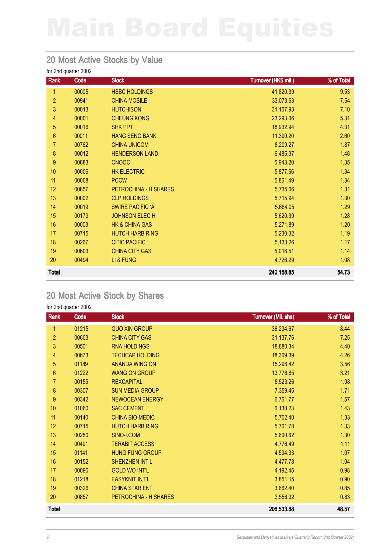## 20 Most Active Stocks by Value

for 2nd quarter 2002

| Rank           | Code  | <b>Stock</b>              | Turnover (HK\$ mil.) | % of Total |
|----------------|-------|---------------------------|----------------------|------------|
| 1              | 00005 | <b>HSBC HOLDINGS</b>      | 41,820.39            | 9.53       |
| $\overline{c}$ | 00941 | <b>CHINA MOBILE</b>       | 33,073.63            | 7.54       |
| 3              | 00013 | <b>HUTCHISON</b>          | 31,157.93            | 7.10       |
| 4              | 00001 | <b>CHEUNG KONG</b>        | 23,293.06            | 5.31       |
| 5              | 00016 | <b>SHK PPT</b>            | 18,932.94            | 4.31       |
| 6              | 00011 | <b>HANG SENG BANK</b>     | 11,390.20            | 2.60       |
| 7              | 00762 | <b>CHINA UNICOM</b>       | 8,209.27             | 1.87       |
| 8              | 00012 | <b>HENDERSON LAND</b>     | 6,485.37             | 1.48       |
| 9              | 00883 | <b>CNOOC</b>              | 5,943.20             | 1.35       |
| 10             | 00006 | <b>HK ELECTRIC</b>        | 5,877.66             | 1.34       |
| 11             | 00008 | <b>PCCW</b>               | 5,861.49             | 1.34       |
| 12             | 00857 | PETROCHINA - H SHARES     | 5,735.06             | 1.31       |
| 13             | 00002 | <b>CLP HOLDINGS</b>       | 5,715.94             | 1.30       |
| 14             | 00019 | <b>SWIRE PACIFIC 'A'</b>  | 5,664.05             | 1.29       |
| 15             | 00179 | <b>JOHNSON ELECH</b>      | 5,620.39             | 1.28       |
| 16             | 00003 | <b>HK &amp; CHINA GAS</b> | 5,271.89             | 1.20       |
| 17             | 00715 | <b>HUTCH HARB RING</b>    | 5,230.32             | 1.19       |
| 18             | 00267 | <b>CITIC PACIFIC</b>      | 5,133.26             | 1.17       |
| 19             | 00603 | <b>CHINA CITY GAS</b>     | 5,016.51             | 1.14       |
| 20             | 00494 | LI & FUNG                 | 4,726.29             | 1.08       |
| <b>Total</b>   |       |                           | 240,158.85           | 54.73      |

## 20 Most Active Stock by Shares

| Rank             | Code  | <b>Stock</b>           | Turnover (Mil. shs) | % of Total |
|------------------|-------|------------------------|---------------------|------------|
| 1                | 01215 | <b>GUO XIN GROUP</b>   | 36,234.67           | 8.44       |
| $\overline{2}$   | 00603 | <b>CHINA CITY GAS</b>  | 31,137.76           | 7.25       |
| 3                | 00501 | <b>RNA HOLDINGS</b>    | 18,880.34           | 4.40       |
| 4                | 00673 | <b>TECHCAP HOLDING</b> | 18,309.39           | 4.26       |
| 5                | 01189 | <b>ANANDA WING ON</b>  | 15,296.42           | 3.56       |
| $\boldsymbol{6}$ | 01222 | <b>WANG ON GROUP</b>   | 13,776.85           | 3.21       |
| 7                | 00155 | <b>REXCAPITAL</b>      | 8,523.26            | 1.98       |
| 8                | 00307 | <b>SUN MEDIA GROUP</b> | 7,359.45            | 1.71       |
| 9                | 00342 | <b>NEWOCEAN ENERGY</b> | 6,761.77            | 1.57       |
| 10               | 01060 | <b>SAC CEMENT</b>      | 6,138.23            | 1.43       |
| 11               | 00140 | <b>CHINA BIO-MEDIC</b> | 5,702.40            | 1.33       |
| 12               | 00715 | <b>HUTCH HARB RING</b> | 5,701.78            | 1.33       |
| 13               | 00250 | SINO-I.COM             | 5,600.62            | 1.30       |
| 14               | 00491 | <b>TERABIT ACCESS</b>  | 4,776.49            | 1.11       |
| 15               | 01141 | <b>HUNG FUNG GROUP</b> | 4,594.33            | 1.07       |
| 16               | 00152 | <b>SHENZHEN INT'L</b>  | 4,477.78            | 1.04       |
| 17               | 00090 | <b>GOLD WO INT'L</b>   | 4,192.45            | 0.98       |
| 18               | 01218 | <b>EASYKNIT INT'L</b>  | 3,851.15            | 0.90       |
| 19               | 00326 | <b>CHINA STAR ENT</b>  | 3,662.40            | 0.85       |
| 20               | 00857 | PETROCHINA - H SHARES  | 3,556.32            | 0.83       |
| <b>Total</b>     |       |                        | 208,533.88          | 48.57      |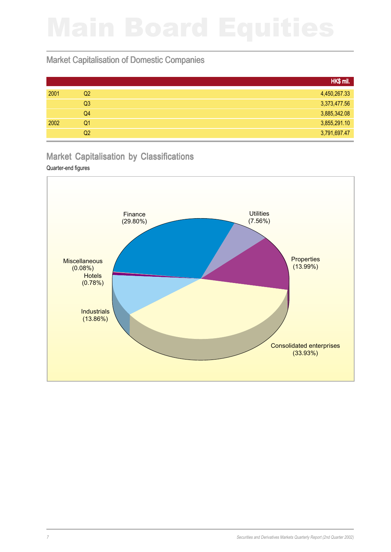## Market Capitalisation of Domestic Companies

|      |                | HK\$ mil.    |
|------|----------------|--------------|
| 2001 | Q2             | 4,450,267.33 |
|      | Q <sub>3</sub> | 3,373,477.56 |
|      | Q4             | 3,885,342.08 |
| 2002 | Q1             | 3,855,291.10 |
|      | Q2             | 3,791,697.47 |

## Market Capitalisation by Classifications

### Quarter-end figures

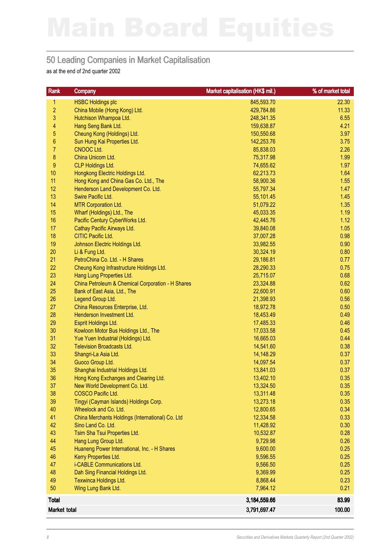## 50 Leading Companies in Market Capitalisation

as at the end of 2nd quarter 2002

| Rank             | <b>Company</b>                                    | Market capitalisation (HK\$ mil.) | % of market total |
|------------------|---------------------------------------------------|-----------------------------------|-------------------|
| 1                | <b>HSBC Holdings plc</b>                          | 845,593.70                        | 22.30             |
| $\overline{c}$   | China Mobile (Hong Kong) Ltd.                     | 429,784.86                        | 11.33             |
| 3                | Hutchison Whampoa Ltd.                            | 248,341.35                        | 6.55              |
| 4                | Hang Seng Bank Ltd.                               | 159,638.87                        | 4.21              |
| 5                | Cheung Kong (Holdings) Ltd.                       | 150,550.68                        | 3.97              |
| $\boldsymbol{6}$ | Sun Hung Kai Properties Ltd.                      | 142,253.76                        | 3.75              |
| $\overline{7}$   | CNOOC Ltd.                                        | 85,838.03                         | 2.26              |
| $\bf 8$          | China Unicom Ltd.                                 | 75,317.98                         | 1.99              |
| $\boldsymbol{9}$ | <b>CLP Holdings Ltd.</b>                          | 74,655.62                         | 1.97              |
| 10               | Hongkong Electric Holdings Ltd.                   | 62,213.73                         | 1.64              |
| 11               | Hong Kong and China Gas Co. Ltd., The             | 58,900.36                         | 1.55              |
| 12               | Henderson Land Development Co. Ltd.               | 55,797.34                         | 1.47              |
| 13               | Swire Pacific Ltd.                                | 55,101.45                         | 1.45              |
| 14               | <b>MTR Corporation Ltd.</b>                       | 51,079.22                         | 1.35              |
| 15               | Wharf (Holdings) Ltd., The                        | 45,033.35                         | 1.19              |
| 16               | Pacific Century CyberWorks Ltd.                   | 42,445.76                         | 1.12              |
| 17               | Cathay Pacific Airways Ltd.                       | 39,840.08                         | 1.05              |
| 18               | CITIC Pacific Ltd.                                | 37,007.28                         | 0.98              |
| 19               | Johnson Electric Holdings Ltd.                    | 33,982.55                         | 0.90              |
| 20               | Li & Fung Ltd.                                    | 30,324.19                         | 0.80              |
| 21               | PetroChina Co. Ltd. - H Shares                    | 29,186.81                         | 0.77              |
| 22               | Cheung Kong Infrastructure Holdings Ltd.          | 28,290.33                         | 0.75              |
| 23               | Hang Lung Properties Ltd.                         | 25,715.07                         | 0.68              |
| 24               | China Petroleum & Chemical Corporation - H Shares | 23,324.88                         | 0.62              |
| 25               | Bank of East Asia, Ltd., The                      | 22,600.91                         | 0.60              |
| 26               | Legend Group Ltd.                                 | 21,398.93                         | 0.56              |
| 27               | China Resources Enterprise, Ltd.                  | 18,972.78                         | 0.50              |
| 28               | Henderson Investment Ltd.                         | 18,453.49                         | 0.49              |
| 29               | Esprit Holdings Ltd.                              | 17,485.33                         | 0.46              |
| 30               | Kowloon Motor Bus Holdings Ltd., The              | 17,033.58                         | 0.45              |
| 31               | Yue Yuen Industrial (Holdings) Ltd.               | 16,665.03                         | 0.44              |
| 32               | <b>Television Broadcasts Ltd.</b>                 | 14,541.60                         | 0.38              |
| 33               | Shangri-La Asia Ltd.                              | 14,148.29                         | 0.37              |
| 34               | Guoco Group Ltd.                                  | 14,097.54                         | 0.37              |
| 35               | Shanghai Industrial Holdings Ltd.                 | 13,841.03                         | 0.37              |
| 36               | Hong Kong Exchanges and Clearing Ltd.             | 13,402.10                         | 0.35              |
| 37               | New World Development Co. Ltd.                    | 13,324.50                         | 0.35              |
| 38               | COSCO Pacific Ltd.                                | 13,311.48                         | 0.35              |
| 39               | Tingyi (Cayman Islands) Holdings Corp.            | 13,273.18                         | 0.35              |
| 40               | Wheelock and Co. Ltd.                             | 12,800.65                         | 0.34              |
| 41               | China Merchants Holdings (International) Co. Ltd  | 12,334.58                         | 0.33              |
| 42               | Sino Land Co. Ltd.                                | 11,428.92                         | 0.30              |
| 43               | Tsim Sha Tsui Properties Ltd.                     | 10,532.87                         | 0.28              |
| 44               | Hang Lung Group Ltd.                              | 9,729.98                          | 0.26              |
| 45               | Huaneng Power International, Inc. - H Shares      | 9,600.00                          | 0.25              |
| 46               | Kerry Properties Ltd.                             | 9,596.55                          | 0.25              |
| 47               | i-CABLE Communications Ltd.                       | 9,566.50                          | 0.25              |
| 48               | Dah Sing Financial Holdings Ltd.                  | 9,369.99                          | 0.25              |
| 49               | Texwinca Holdings Ltd.                            | 8,868.44                          | 0.23              |
| 50               | Wing Lung Bank Ltd.                               | 7,964.12                          | 0.21              |
| <b>Total</b>     |                                                   | 3,184,559.66                      | 83.99             |
| Market total     |                                                   | 3,791,697.47                      | 100.00            |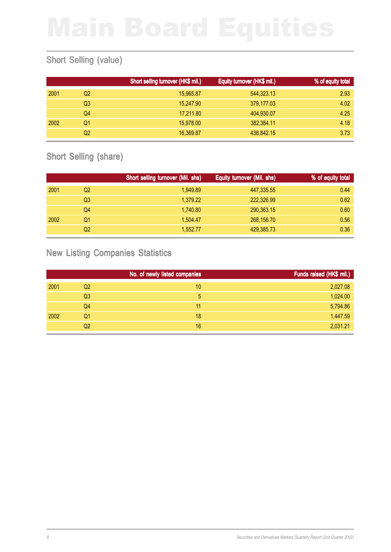## Short Selling (value)

|      |    | Short selling turnover (HK\$ mil.) | Equity turnover (HK\$ mil.) | % of equity total |
|------|----|------------------------------------|-----------------------------|-------------------|
| 2001 | Q2 | 15,965.87                          | 544,323.13                  | 2.93              |
|      | Q3 | 15,247.90                          | 379,177.03                  | 4.02              |
|      | Q4 | 17,211.80                          | 404,930.07                  | 4.25              |
| 2002 | Q1 | 15,978.00                          | 382,384.11                  | 4.18              |
|      | Q2 | 16,369.87                          | 438,842.15                  | 3.73              |

## Short Selling (share)

|      |    | Short selling turnover (Mil. shs) | Equity turnover (Mil. shs) | % of equity total |
|------|----|-----------------------------------|----------------------------|-------------------|
| 2001 | Q2 | 1.949.89                          | 447,335.55                 | 0.44              |
|      | Q3 | 1,379.22                          | 222,326.99                 | 0.62              |
|      | Q4 | 1,740.80                          | 290,363.15                 | 0.60              |
| 2002 | Q1 | 1,504.47                          | 268,156.70                 | 0.56              |
|      | Q2 | 1.552.77                          | 429,385.73                 | 0.36              |

## New Listing Companies Statistics

|      |                | No. of newly listed companies | Funds raised (HK\$ mil.) |
|------|----------------|-------------------------------|--------------------------|
| 2001 | Q2             | 10                            | 2,027.08                 |
|      | Q <sub>3</sub> | 5                             | 1,024.00                 |
|      | Q4             | 11                            | 5,794.86                 |
| 2002 | Q1             | 18                            | 1,447.59                 |
|      | Q2             | 16                            | 2,031.21                 |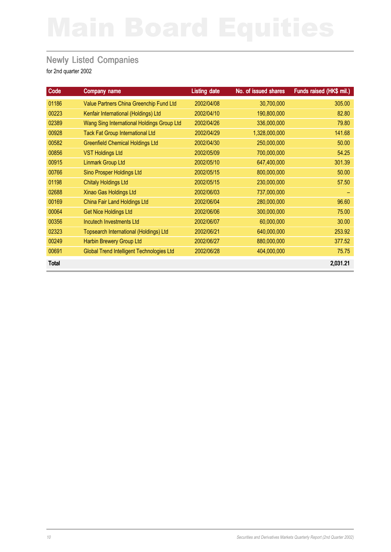## **Newly Listed Companies**

| Code         | Company name                               | <b>Listing date</b> | No. of issued shares | Funds raised (HK\$ mil.) |
|--------------|--------------------------------------------|---------------------|----------------------|--------------------------|
| 01186        | Value Partners China Greenchip Fund Ltd    | 2002/04/08          | 30,700,000           | 305.00                   |
| 00223        | Kenfair International (Holdings) Ltd       | 2002/04/10          | 190,800,000          | 82.80                    |
| 02389        | Wang Sing International Holdings Group Ltd | 2002/04/26          | 336,000,000          | 79.80                    |
| 00928        | <b>Tack Fat Group International Ltd</b>    | 2002/04/29          | 1,328,000,000        | 141.68                   |
| 00582        | <b>Greenfield Chemical Holdings Ltd</b>    | 2002/04/30          | 250,000,000          | 50.00                    |
| 00856        | <b>VST Holdings Ltd</b>                    | 2002/05/09          | 700,000,000          | 54.25                    |
| 00915        | <b>Linmark Group Ltd</b>                   | 2002/05/10          | 647,400,000          | 301.39                   |
| 00766        | <b>Sino Prosper Holdings Ltd</b>           | 2002/05/15          | 800,000,000          | 50.00                    |
| 01198        | <b>Chitaly Holdings Ltd</b>                | 2002/05/15          | 230,000,000          | 57.50                    |
| 02688        | Xinao Gas Holdings Ltd                     | 2002/06/03          | 737,000,000          |                          |
| 00169        | <b>China Fair Land Holdings Ltd</b>        | 2002/06/04          | 280,000,000          | 96.60                    |
| 00064        | <b>Get Nice Holdings Ltd</b>               | 2002/06/06          | 300,000,000          | 75.00                    |
| 00356        | Incutech Investments Ltd                   | 2002/06/07          | 60,000,000           | 30.00                    |
| 02323        | Topsearch International (Holdings) Ltd     | 2002/06/21          | 640,000,000          | 253.92                   |
| 00249        | Harbin Brewery Group Ltd                   | 2002/06/27          | 880,000,000          | 377.52                   |
| 00691        | Global Trend Intelligent Technologies Ltd  | 2002/06/28          | 404,000,000          | 75.75                    |
| <b>Total</b> |                                            |                     |                      | 2,031.21                 |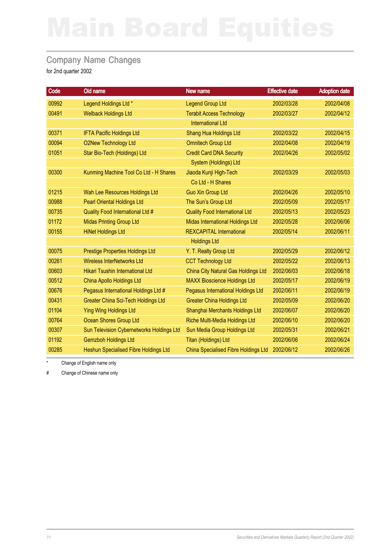## Company Name Changes

for 2nd quarter 2002

| Code  | Old name                                   | New name                              | <b>Effective date</b> | <b>Adoption date</b> |
|-------|--------------------------------------------|---------------------------------------|-----------------------|----------------------|
| 00992 | Legend Holdings Ltd *                      | <b>Legend Group Ltd</b>               | 2002/03/28            | 2002/04/08           |
| 00491 | <b>Welback Holdings Ltd</b>                | <b>Terabit Access Technology</b>      | 2002/03/27            | 2002/04/12           |
|       |                                            | <b>International Ltd</b>              |                       |                      |
| 00371 | <b>IFTA Pacific Holdings Ltd</b>           | Shang Hua Holdings Ltd                | 2002/03/22            | 2002/04/15           |
| 00094 | <b>O2New Technology Ltd</b>                | <b>Omnitech Group Ltd</b>             | 2002/04/08            | 2002/04/19           |
| 01051 | Star Bio-Tech (Holdings) Ltd               | <b>Credit Card DNA Security</b>       | 2002/04/26            | 2002/05/02           |
|       |                                            | System (Holdings) Ltd                 |                       |                      |
| 00300 | Kunming Machine Tool Co Ltd - H Shares     | Jiaoda Kunji High-Tech                | 2002/03/29            | 2002/05/03           |
|       |                                            | Co Ltd - H Shares                     |                       |                      |
| 01215 | Wah Lee Resources Holdings Ltd             | <b>Guo Xin Group Ltd</b>              | 2002/04/26            | 2002/05/10           |
| 00988 | <b>Pearl Oriental Holdings Ltd</b>         | The Sun's Group Ltd                   | 2002/05/09            | 2002/05/17           |
| 00735 | Quality Food International Ltd #           | <b>Quality Food International Ltd</b> | 2002/05/13            | 2002/05/23           |
| 01172 | <b>Midas Printing Group Ltd</b>            | Midas International Holdings Ltd      | 2002/05/28            | 2002/06/06           |
| 00155 | <b>HiNet Holdings Ltd</b>                  | <b>REXCAPITAL International</b>       | 2002/05/14            | 2002/06/11           |
|       |                                            | <b>Holdings Ltd</b>                   |                       |                      |
| 00075 | <b>Prestige Properties Holdings Ltd</b>    | Y. T. Realty Group Ltd                | 2002/05/29            | 2002/06/12           |
| 00261 | <b>Wireless InterNetworks Ltd</b>          | <b>CCT Technology Ltd</b>             | 2002/05/22            | 2002/06/13           |
| 00603 | Hikari Tsushin International Ltd           | China City Natural Gas Holdings Ltd   | 2002/06/03            | 2002/06/18           |
| 00512 | China Apollo Holdings Ltd                  | <b>MAXX Bioscience Holdings Ltd</b>   | 2002/05/17            | 2002/06/19           |
| 00676 | Pegasus International Holdings Ltd #       | Pegasus International Holdings Ltd    | 2002/06/11            | 2002/06/19           |
| 00431 | <b>Greater China Sci-Tech Holdings Ltd</b> | <b>Greater China Holdings Ltd</b>     | 2002/05/09            | 2002/06/20           |
| 01104 | <b>Ying Wing Holdings Ltd</b>              | Shanghai Merchants Holdings Ltd       | 2002/06/07            | 2002/06/20           |
| 00764 | <b>Ocean Shores Group Ltd</b>              | Riche Multi-Media Holdings Ltd        | 2002/06/10            | 2002/06/20           |
| 00307 | Sun Television Cybernetworks Holdings Ltd  | Sun Media Group Holdings Ltd          | 2002/05/31            | 2002/06/21           |
| 01192 | <b>Gemzboh Holdings Ltd</b>                | <b>Titan (Holdings) Ltd</b>           | 2002/06/06            | 2002/06/24           |
| 00285 | Heshun Specialised Fibre Holdings Ltd      | China Specialised Fibre Holdings Ltd  | 2002/06/12            | 2002/06/26           |

Change of English name only

# Change of Chinese name only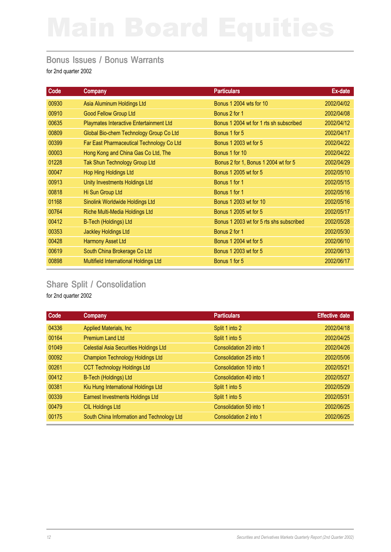### Bonus Issues / Bonus Warrants

for 2nd quarter 2002

| Code  | Company                                   | <b>Particulars</b>                       | Ex-date    |
|-------|-------------------------------------------|------------------------------------------|------------|
| 00930 | Asia Aluminum Holdings Ltd                | <b>Bonus 1 2004 wts for 10</b>           | 2002/04/02 |
| 00910 | <b>Good Fellow Group Ltd</b>              | Bonus 2 for 1                            | 2002/04/08 |
| 00635 | Playmates Interactive Entertainment Ltd   | Bonus 1 2004 wt for 1 rts sh subscribed  | 2002/04/12 |
| 00809 | Global Bio-chem Technology Group Co Ltd   | Bonus 1 for 5                            | 2002/04/17 |
| 00399 | Far East Pharmaceutical Technology Co Ltd | Bonus 1 2003 wt for 5                    | 2002/04/22 |
| 00003 | Hong Kong and China Gas Co Ltd, The       | Bonus 1 for 10                           | 2002/04/22 |
| 01228 | <b>Tak Shun Technology Group Ltd</b>      | Bonus 2 for 1, Bonus 1 2004 wt for 5     | 2002/04/29 |
| 00047 | Hop Hing Holdings Ltd                     | Bonus 1 2005 wt for 5                    | 2002/05/10 |
| 00913 | Unity Investments Holdings Ltd            | Bonus 1 for 1                            | 2002/05/15 |
| 00818 | Hi Sun Group Ltd                          | Bonus 1 for 1                            | 2002/05/16 |
| 01168 | Sinolink Worldwide Holdings Ltd           | <b>Bonus 1 2003 wt for 10</b>            | 2002/05/16 |
| 00764 | Riche Multi-Media Holdings Ltd            | Bonus 1 2005 wt for 5                    | 2002/05/17 |
| 00412 | <b>B-Tech (Holdings) Ltd</b>              | Bonus 1 2003 wt for 5 rts shs subscribed | 2002/05/28 |
| 00353 | <b>Jackley Holdings Ltd</b>               | Bonus 2 for 1                            | 2002/05/30 |
| 00428 | <b>Harmony Asset Ltd</b>                  | Bonus 1 2004 wt for 5                    | 2002/06/10 |
| 00619 | South China Brokerage Co Ltd              | Bonus 1 2003 wt for 5                    | 2002/06/13 |
| 00898 | Multifield International Holdings Ltd     | Bonus 1 for 5                            | 2002/06/17 |

## Share Split / Consolidation

| Code  | <b>Company</b>                                | <b>Particulars</b>      | <b>Effective date</b> |
|-------|-----------------------------------------------|-------------------------|-----------------------|
| 04336 | Applied Materials, Inc.                       | Split 1 into 2          | 2002/04/18            |
| 00164 | <b>Premium Land Ltd</b>                       | Split 1 into 5          | 2002/04/25            |
| 01049 | <b>Celestial Asia Securities Holdings Ltd</b> | Consolidation 20 into 1 | 2002/04/26            |
| 00092 | <b>Champion Technology Holdings Ltd</b>       | Consolidation 25 into 1 | 2002/05/06            |
| 00261 | <b>CCT Technology Holdings Ltd</b>            | Consolidation 10 into 1 | 2002/05/21            |
| 00412 | B-Tech (Holdings) Ltd                         | Consolidation 40 into 1 | 2002/05/27            |
| 00381 | Kiu Hung International Holdings Ltd           | Split 1 into 5          | 2002/05/29            |
| 00339 | <b>Earnest Investments Holdings Ltd</b>       | Split 1 into 5          | 2002/05/31            |
| 00479 | <b>CIL Holdings Ltd</b>                       | Consolidation 50 into 1 | 2002/06/25            |
| 00175 | South China Information and Technology Ltd    | Consolidation 2 into 1  | 2002/06/25            |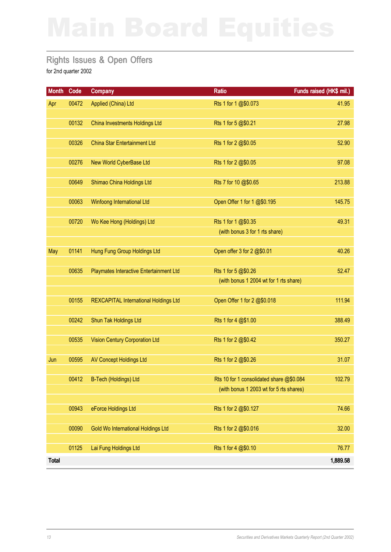## Rights Issues & Open Offers

| <b>Month</b> | Code  | <b>Company</b>                               | <b>Ratio</b>                                                                        | Funds raised (HK\$ mil.) |
|--------------|-------|----------------------------------------------|-------------------------------------------------------------------------------------|--------------------------|
| Apr          | 00472 | Applied (China) Ltd                          | Rts 1 for 1 @\$0.073                                                                | 41.95                    |
|              | 00132 | China Investments Holdings Ltd               | Rts 1 for 5 @\$0.21                                                                 | 27.98                    |
|              | 00326 | <b>China Star Entertainment Ltd</b>          | Rts 1 for 2 @\$0.05                                                                 | 52.90                    |
|              | 00276 | New World CyberBase Ltd                      | Rts 1 for 2 @\$0.05                                                                 | 97.08                    |
|              | 00649 | Shimao China Holdings Ltd                    | Rts 7 for 10 @\$0.65                                                                | 213.88                   |
|              | 00063 | <b>Winfoong International Ltd</b>            | Open Offer 1 for 1 @\$0.195                                                         | 145.75                   |
|              | 00720 | Wo Kee Hong (Holdings) Ltd                   | Rts 1 for 1 @\$0.35<br>(with bonus 3 for 1 rts share)                               | 49.31                    |
|              |       |                                              |                                                                                     |                          |
| May          | 01141 | Hung Fung Group Holdings Ltd                 | Open offer 3 for 2 @\$0.01                                                          | 40.26                    |
|              | 00635 | Playmates Interactive Entertainment Ltd      | Rts 1 for 5 @\$0.26<br>(with bonus 1 2004 wt for 1 rts share)                       | 52.47                    |
|              | 00155 | <b>REXCAPITAL International Holdings Ltd</b> | Open Offer 1 for 2 @\$0.018                                                         | 111.94                   |
|              | 00242 | Shun Tak Holdings Ltd                        | Rts 1 for 4 @\$1.00                                                                 | 388.49                   |
|              | 00535 | <b>Vision Century Corporation Ltd</b>        | Rts 1 for 2 @\$0.42                                                                 | 350.27                   |
| Jun          | 00595 | <b>AV Concept Holdings Ltd</b>               | Rts 1 for 2 @\$0.26                                                                 | 31.07                    |
|              | 00412 | B-Tech (Holdings) Ltd                        | Rts 10 for 1 consolidated share @\$0.084<br>(with bonus 1 2003 wt for 5 rts shares) | 102.79                   |
|              |       |                                              |                                                                                     |                          |
|              | 00943 | eForce Holdings Ltd                          | Rts 1 for 2 @\$0.127                                                                | 74.66                    |
|              | 00090 | Gold Wo International Holdings Ltd           | Rts 1 for 2 @\$0.016                                                                | 32.00                    |
|              | 01125 | Lai Fung Holdings Ltd                        | Rts 1 for 4 @\$0.10                                                                 | 76.77                    |
| <b>Total</b> |       |                                              |                                                                                     | 1,889.58                 |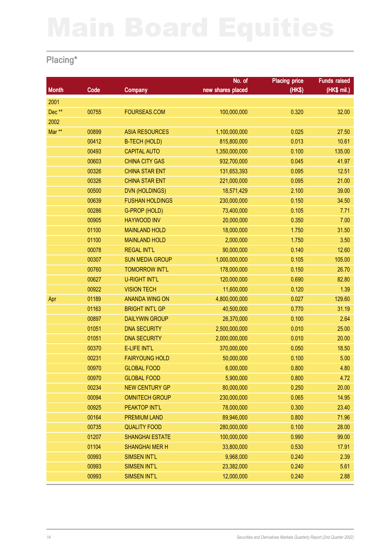## Placing\*

|              |       |                        | No. of            | <b>Placing price</b> | <b>Funds raised</b> |
|--------------|-------|------------------------|-------------------|----------------------|---------------------|
| <b>Month</b> | Code  | <b>Company</b>         | new shares placed | (HK\$)               | (HK\$ mil.)         |
| 2001         |       |                        |                   |                      |                     |
| Dec**        | 00755 | FOURSEAS.COM           | 100,000,000       | 0.320                | 32.00               |
| 2002         |       |                        |                   |                      |                     |
| Mar **       | 00899 | <b>ASIA RESOURCES</b>  | 1,100,000,000     | 0.025                | 27.50               |
|              | 00412 | <b>B-TECH (HOLD)</b>   | 815,800,000       | 0.013                | 10.61               |
|              | 00493 | <b>CAPITAL AUTO</b>    | 1,350,000,000     | 0.100                | 135.00              |
|              | 00603 | <b>CHINA CITY GAS</b>  | 932,700,000       | 0.045                | 41.97               |
|              | 00326 | <b>CHINA STAR ENT</b>  | 131,653,393       | 0.095                | 12.51               |
|              | 00326 | <b>CHINA STAR ENT</b>  | 221,000,000       | 0.095                | 21.00               |
|              | 00500 | <b>DVN (HOLDINGS)</b>  | 18,571,429        | 2.100                | 39.00               |
|              | 00639 | <b>FUSHAN HOLDINGS</b> | 230,000,000       | 0.150                | 34.50               |
|              | 00286 | G-PROP (HOLD)          | 73,400,000        | 0.105                | 7.71                |
|              | 00905 | <b>HAYWOOD INV</b>     | 20,000,000        | 0.350                | 7.00                |
|              | 01100 | <b>MAINLAND HOLD</b>   | 18,000,000        | 1.750                | 31.50               |
|              | 01100 | <b>MAINLAND HOLD</b>   | 2,000,000         | 1.750                | 3.50                |
|              | 00078 | <b>REGAL INT'L</b>     | 90,000,000        | 0.140                | 12.60               |
|              | 00307 | <b>SUN MEDIA GROUP</b> | 1,000,000,000     | 0.105                | 105.00              |
|              | 00760 | <b>TOMORROW INT'L</b>  | 178,000,000       | 0.150                | 26.70               |
|              | 00627 | <b>U-RIGHT INT'L</b>   | 120,000,000       | 0.690                | 82.80               |
|              | 00922 | <b>VISION TECH</b>     | 11,600,000        | 0.120                | 1.39                |
| Apr          | 01189 | <b>ANANDA WING ON</b>  | 4,800,000,000     | 0.027                | 129.60              |
|              | 01163 | <b>BRIGHT INT'L GP</b> | 40,500,000        | 0.770                | 31.19               |
|              | 00897 | <b>DAILYWIN GROUP</b>  | 26,370,000        | 0.100                | 2.64                |
|              | 01051 | <b>DNA SECURITY</b>    | 2,500,000,000     | 0.010                | 25.00               |
|              | 01051 | <b>DNA SECURITY</b>    | 2,000,000,000     | 0.010                | 20.00               |
|              | 00370 | E-LIFE INT'L           | 370,000,000       | 0.050                | 18.50               |
|              | 00231 | <b>FAIRYOUNG HOLD</b>  | 50,000,000        | 0.100                | 5.00                |
|              | 00970 | <b>GLOBAL FOOD</b>     | 6,000,000         | 0.800                | 4.80                |
|              | 00970 | <b>GLOBAL FOOD</b>     | 5,900,000         | 0.800                | 4.72                |
|              | 00234 | <b>NEW CENTURY GP</b>  | 80,000,000        | 0.250                | 20.00               |
|              | 00094 | <b>OMNITECH GROUP</b>  | 230,000,000       | 0.065                | 14.95               |
|              | 00925 | PEAKTOP INT'L          | 78,000,000        | 0.300                | 23.40               |
|              | 00164 | <b>PREMIUM LAND</b>    | 89,946,000        | 0.800                | 71.96               |
|              | 00735 | <b>QUALITY FOOD</b>    | 280,000,000       | 0.100                | 28.00               |
|              | 01207 | <b>SHANGHAI ESTATE</b> | 100,000,000       | 0.990                | 99.00               |
|              | 01104 | <b>SHANGHAI MER H</b>  | 33,800,000        | 0.530                | 17.91               |
|              | 00993 | <b>SIMSEN INT'L</b>    | 9,968,000         | 0.240                | 2.39                |
|              | 00993 | <b>SIMSEN INT'L</b>    | 23,382,000        | 0.240                | 5.61                |
|              | 00993 | <b>SIMSEN INT'L</b>    | 12,000,000        | 0.240                | 2.88                |
|              |       |                        |                   |                      |                     |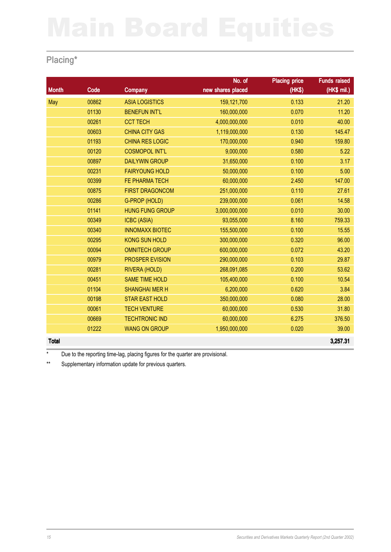## Placing\*

|              |       |                        | No. of            | <b>Placing price</b> | <b>Funds raised</b> |
|--------------|-------|------------------------|-------------------|----------------------|---------------------|
| <b>Month</b> | Code  | <b>Company</b>         | new shares placed | (HK\$)               | $(HK$$ mil.)        |
| May          | 00862 | <b>ASIA LOGISTICS</b>  | 159,121,700       | 0.133                | 21.20               |
|              | 01130 | <b>BENEFUN INT'L</b>   | 160,000,000       | 0.070                | 11.20               |
|              | 00261 | <b>CCT TECH</b>        | 4,000,000,000     | 0.010                | 40.00               |
|              | 00603 | <b>CHINA CITY GAS</b>  | 1,119,000,000     | 0.130                | 145.47              |
|              | 01193 | <b>CHINA RES LOGIC</b> | 170,000,000       | 0.940                | 159.80              |
|              | 00120 | <b>COSMOPOL INT'L</b>  | 9,000,000         | 0.580                | 5.22                |
|              | 00897 | <b>DAILYWIN GROUP</b>  | 31,650,000        | 0.100                | 3.17                |
|              | 00231 | <b>FAIRYOUNG HOLD</b>  | 50,000,000        | 0.100                | 5.00                |
|              | 00399 | FE PHARMA TECH         | 60,000,000        | 2.450                | 147.00              |
|              | 00875 | <b>FIRST DRAGONCOM</b> | 251,000,000       | 0.110                | 27.61               |
|              | 00286 | G-PROP (HOLD)          | 239,000,000       | 0.061                | 14.58               |
|              | 01141 | <b>HUNG FUNG GROUP</b> | 3,000,000,000     | 0.010                | 30.00               |
|              | 00349 | <b>ICBC (ASIA)</b>     | 93,055,000        | 8.160                | 759.33              |
|              | 00340 | <b>INNOMAXX BIOTEC</b> | 155,500,000       | 0.100                | 15.55               |
|              | 00295 | <b>KONG SUN HOLD</b>   | 300,000,000       | 0.320                | 96.00               |
|              | 00094 | <b>OMNITECH GROUP</b>  | 600,000,000       | 0.072                | 43.20               |
|              | 00979 | <b>PROSPER EVISION</b> | 290,000,000       | 0.103                | 29.87               |
|              | 00281 | RIVERA (HOLD)          | 268,091,085       | 0.200                | 53.62               |
|              | 00451 | <b>SAME TIME HOLD</b>  | 105,400,000       | 0.100                | 10.54               |
|              | 01104 | <b>SHANGHAI MER H</b>  | 6,200,000         | 0.620                | 3.84                |
|              | 00198 | <b>STAR EAST HOLD</b>  | 350,000,000       | 0.080                | 28.00               |
|              | 00061 | <b>TECH VENTURE</b>    | 60,000,000        | 0.530                | 31.80               |
|              | 00669 | <b>TECHTRONIC IND</b>  | 60,000,000        | 6.275                | 376.50              |
|              | 01222 | <b>WANG ON GROUP</b>   | 1,950,000,000     | 0.020                | 39.00               |
| <b>Total</b> |       |                        |                   |                      | 3,257.31            |

\* Due to the reporting time-lag, placing figures for the quarter are provisional.

\*\* Supplementary information update for previous quarters.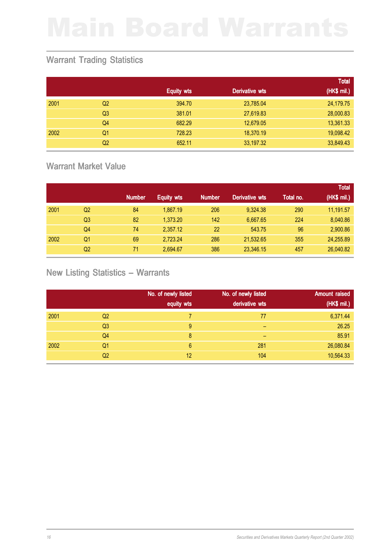## Warrant Trading Statistics

|      |                |                   |                | <b>Total</b> |
|------|----------------|-------------------|----------------|--------------|
|      |                | <b>Equity wts</b> | Derivative wts | (HK\$ mil.)  |
| 2001 | Q <sub>2</sub> | 394.70            | 23,785.04      | 24,179.75    |
|      | Q <sub>3</sub> | 381.01            | 27,619.83      | 28,000.83    |
|      | Q <sub>4</sub> | 682.29            | 12,679.05      | 13,361.33    |
| 2002 | Q1             | 728.23            | 18,370.19      | 19,098.42    |
|      | Q <sub>2</sub> | 652.11            | 33,197.32      | 33,849.43    |

## Warrant Market Value

|      |                |               |                   |               |                       |           | <b>Total</b> |
|------|----------------|---------------|-------------------|---------------|-----------------------|-----------|--------------|
|      |                | <b>Number</b> | <b>Equity wts</b> | <b>Number</b> | <b>Derivative wts</b> | Total no. | (HK\$ mil.)  |
| 2001 | Q <sub>2</sub> | 84            | 1,867.19          | 206           | 9,324.38              | 290       | 11,191.57    |
|      | Q3             | 82            | 1,373.20          | 142           | 6,667.65              | 224       | 8,040.86     |
|      | Q4             | 74            | 2,357.12          | 22            | 543.75                | 96        | 2,900.86     |
| 2002 | Q1             | 69            | 2,723.24          | 286           | 21,532.65             | 355       | 24,255.89    |
|      | Q <sub>2</sub> | 71            | 2,694.67          | 386           | 23,346.15             | 457       | 26,040.82    |

## New Listing Statistics – Warrants

|      |                | No. of newly listed<br>equity wts | No. of newly listed<br>derivative wts | <b>Amount raised</b><br>(HK\$ mil.) |
|------|----------------|-----------------------------------|---------------------------------------|-------------------------------------|
| 2001 | Q <sub>2</sub> |                                   | 77                                    | 6,371.44                            |
|      |                |                                   |                                       |                                     |
|      | Q <sub>3</sub> | 9                                 | -                                     | 26.25                               |
|      | Q4             | 8                                 | -                                     | 85.91                               |
| 2002 | Q <sub>1</sub> | 6                                 | 281                                   | 26,080.84                           |
|      | Q <sub>2</sub> | 12                                | 104                                   | 10,564.33                           |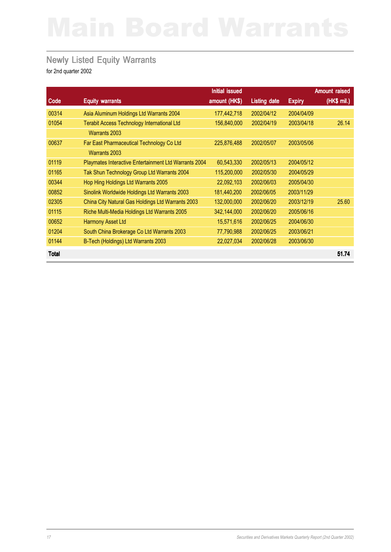## Newly Listed Equity Warrants

|              |                                                       | Initial issued |                     |               | <b>Amount raised</b> |
|--------------|-------------------------------------------------------|----------------|---------------------|---------------|----------------------|
| Code         | <b>Equity warrants</b>                                | amount (HK\$)  | <b>Listing date</b> | <b>Expiry</b> | (HK\$ mil.)          |
| 00314        | Asia Aluminum Holdings Ltd Warrants 2004              | 177,442,718    | 2002/04/12          | 2004/04/09    |                      |
| 01054        | <b>Terabit Access Technology International Ltd</b>    | 156,840,000    | 2002/04/19          | 2003/04/18    | 26.14                |
|              | <b>Warrants 2003</b>                                  |                |                     |               |                      |
| 00637        | Far East Pharmaceutical Technology Co Ltd             | 225,876,488    | 2002/05/07          | 2003/05/06    |                      |
|              | <b>Warrants 2003</b>                                  |                |                     |               |                      |
| 01119        | Playmates Interactive Entertainment Ltd Warrants 2004 | 60,543,330     | 2002/05/13          | 2004/05/12    |                      |
| 01165        | Tak Shun Technology Group Ltd Warrants 2004           | 115,200,000    | 2002/05/30          | 2004/05/29    |                      |
| 00344        | Hop Hing Holdings Ltd Warrants 2005                   | 22,092,103     | 2002/06/03          | 2005/04/30    |                      |
| 00852        | Sinolink Worldwide Holdings Ltd Warrants 2003         | 181,440,200    | 2002/06/05          | 2003/11/29    |                      |
| 02305        | China City Natural Gas Holdings Ltd Warrants 2003     | 132,000,000    | 2002/06/20          | 2003/12/19    | 25.60                |
| 01115        | Riche Multi-Media Holdings Ltd Warrants 2005          | 342,144,000    | 2002/06/20          | 2005/06/16    |                      |
| 00652        | <b>Harmony Asset Ltd</b>                              | 15,571,616     | 2002/06/25          | 2004/06/30    |                      |
| 01204        | South China Brokerage Co Ltd Warrants 2003            | 77,790,988     | 2002/06/25          | 2003/06/21    |                      |
| 01144        | B-Tech (Holdings) Ltd Warrants 2003                   | 22,027,034     | 2002/06/28          | 2003/06/30    |                      |
| <b>Total</b> |                                                       |                |                     |               | 51.74                |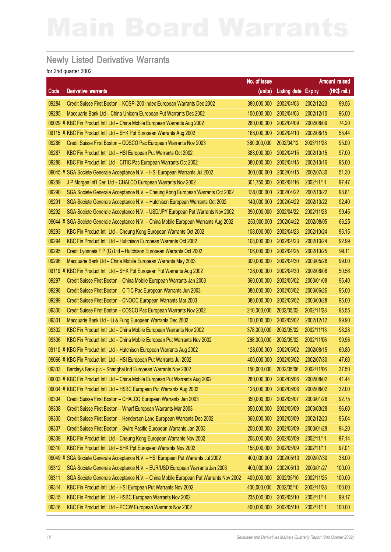## Newly Listed Derivative Warrants

|         |                                                                                    | No. of issue |                            |            | Amount raised |
|---------|------------------------------------------------------------------------------------|--------------|----------------------------|------------|---------------|
| Code    | <b>Derivative warrants</b>                                                         | (units)      | <b>Listing date Expiry</b> |            | (HK\$ mil.)   |
| 09284   | Credit Suisse First Boston - KOSPI 200 Index European Warrants Dec 2002            | 380,000,000  | 2002/04/03                 | 2002/12/23 | 99.56         |
| 09285   | Macquarie Bank Ltd - China Unicom European Put Warrants Dec 2002                   | 100,000,000  | 2002/04/03                 | 2002/12/10 | 96.00         |
|         | 09029 # KBC Fin Product Int'l Ltd - China Mobile European Warrants Aug 2002        | 280,000,000  | 2002/04/09                 | 2002/08/09 | 74.20         |
|         | 09115 # KBC Fin Product Int'l Ltd - SHK Ppt European Warrants Aug 2002             | 168,000,000  | 2002/04/10                 | 2002/08/15 | 55.44         |
| 09286   | Credit Suisse First Boston - COSCO Pac European Warrants Nov 2003                  | 380,000,000  | 2002/04/12                 | 2003/11/28 | 95.00         |
| 09287   | KBC Fin Product Int'l Ltd - HSI European Put Warrants Oct 2002                     | 388,000,000  | 2002/04/15                 | 2002/10/15 | 97.00         |
| 09288   | KBC Fin Product Int'l Ltd - CITIC Pac European Warrants Oct 2002                   | 380,000,000  | 2002/04/15                 | 2002/10/16 | 95.00         |
|         | 09045 # SGA Societe Generale Acceptance N.V. - HSI European Warrants Jul 2002      | 300,000,000  | 2002/04/15                 | 2002/07/30 | 51.30         |
| 09289   | J P Morgan Int'l Der. Ltd - CHALCO European Warrants Nov 2002                      | 301,750,000  | 2002/04/16                 | 2002/11/11 | 97.47         |
| 09290   | SGA Societe Generale Acceptance N.V. - Cheung Kong European Warrants Oct 2002      | 138,000,000  | 2002/04/22                 | 2002/10/22 | 98.81         |
| 09291   | SGA Societe Generale Acceptance N.V. - Hutchison European Warrants Oct 2002        | 140,000,000  | 2002/04/22                 | 2002/10/22 | 92.40         |
| 09292   | SGA Societe Generale Acceptance N.V. - USD/JPY European Put Warrants Nov 2002      | 390,000,000  | 2002/04/22                 | 2002/11/28 | 99.45         |
| 09044 # | SGA Societe Generale Acceptance N.V. - China Mobile European Warrants Aug 2002     | 250,000,000  | 2002/04/22                 | 2002/08/05 | 66.25         |
| 09293   | KBC Fin Product Int'l Ltd - Cheung Kong European Warrants Oct 2002                 | 108,000,000  | 2002/04/23                 | 2002/10/24 | 95.15         |
| 09294   | KBC Fin Product Int'l Ltd - Hutchison European Warrants Oct 2002                   | 108,000,000  | 2002/04/23                 | 2002/10/24 | 92.99         |
| 09295   | Credit Lyonnais F P (G) Ltd - Hutchison European Warrants Oct 2002                 | 106,000,000  | 2002/04/25                 | 2002/10/25 | 99.11         |
| 09296   | Macquarie Bank Ltd - China Mobile European Warrants May 2003                       | 300,000,000  | 2002/04/30                 | 2003/05/28 | 99.00         |
|         | 09119 # KBC Fin Product Int'l Ltd - SHK Ppt European Put Warrants Aug 2002         | 128,000,000  | 2002/04/30                 | 2002/08/08 | 50.56         |
| 09297   | Credit Suisse First Boston - China Mobile European Warrants Jan 2003               | 360,000,000  | 2002/05/02                 | 2003/01/08 | 95.40         |
| 09298   | Credit Suisse First Boston - CITIC Pac European Warrants Jun 2003                  | 380,000,000  | 2002/05/02                 | 2003/06/26 | 95.00         |
| 09299   | Credit Suisse First Boston - CNOOC European Warrants Mar 2003                      | 380,000,000  | 2002/05/02                 | 2003/03/28 | 95.00         |
| 09300   | Credit Suisse First Boston - COSCO Pac European Warrants Nov 2002                  | 210,000,000  | 2002/05/02                 | 2002/11/28 | 95.55         |
| 09301   | Macquarie Bank Ltd - Li & Fung European Warrants Dec 2002                          | 100,000,000  | 2002/05/02                 | 2002/12/12 | 99.90         |
| 09302   | KBC Fin Product Int'l Ltd - China Mobile European Warrants Nov 2002                | 378,000,000  | 2002/05/02                 | 2002/11/13 | 98.28         |
| 09306   | KBC Fin Product Int'l Ltd - China Mobile European Put Warrants Nov 2002            | 268,000,000  | 2002/05/02                 | 2002/11/06 | 99.96         |
|         | 09110 # KBC Fin Product Int'l Ltd - Hutchison European Warrants Aug 2002           | 128,000,000  | 2002/05/02                 | 2002/08/15 | 60.80         |
|         | 09066 # KBC Fin Product Int'l Ltd - HSI European Put Warrants Jul 2002             | 400,000,000  | 2002/05/02                 | 2002/07/30 | 47.60         |
| 09303   | Barclays Bank plc - Shanghai Ind European Warrants Nov 2002                        | 150,000,000  | 2002/05/06                 | 2002/11/06 | 37.50         |
|         | 09033 # KBC Fin Product Int'l Ltd - China Mobile European Put Warrants Aug 2002    | 280,000,000  | 2002/05/06                 | 2002/08/02 | 41.44         |
|         | 09034 # KBC Fin Product Int'l Ltd - HSBC European Put Warrants Aug 2002            | 128,000,000  | 2002/05/06                 | 2002/08/02 | 32.00         |
| 09304   | Credit Suisse First Boston - CHALCO European Warrants Jan 2003                     | 350,000,000  | 2002/05/07                 | 2003/01/28 | 92.75         |
| 09308   | Credit Suisse First Boston - Wharf European Warrants Mar 2003                      | 350,000,000  | 2002/05/09                 | 2003/03/28 | 96.60         |
| 09305   | Credit Suisse First Boston - Henderson Land European Warrants Dec 2002             | 360,000,000  | 2002/05/09                 | 2002/12/23 | 95.04         |
| 09307   | Credit Suisse First Boston - Swire Pacific European Warrants Jan 2003              | 200,000,000  | 2002/05/09                 | 2003/01/28 | 94.20         |
| 09309   | KBC Fin Product Int'l Ltd - Cheung Kong European Warrants Nov 2002                 | 208,000,000  | 2002/05/09                 | 2002/11/11 | 97.14         |
| 09310   | KBC Fin Product Int'l Ltd - SHK Ppt European Warrants Nov 2002                     | 158,000,000  | 2002/05/09                 | 2002/11/11 | 97.01         |
|         | 09049 # SGA Societe Generale Acceptance N.V. - HSI European Put Warrants Jul 2002  | 400,000,000  | 2002/05/10                 | 2002/07/30 | 36.00         |
| 09312   | SGA Societe Generale Acceptance N.V. - EUR/USD European Warrants Jan 2003          | 400,000,000  | 2002/05/10                 | 2003/01/27 | 100.00        |
| 09311   | SGA Societe Generale Acceptance N.V. - China Mobile European Put Warrants Nov 2002 | 400,000,000  | 2002/05/10                 | 2002/11/25 | 100.00        |
| 09314   | KBC Fin Product Int'l Ltd - HSI European Put Warrants Nov 2002                     | 400,000,000  | 2002/05/10                 | 2002/11/28 | 100.00        |
| 09315   | KBC Fin Product Int'l Ltd - HSBC European Warrants Nov 2002                        | 235,000,000  | 2002/05/10                 | 2002/11/11 | 99.17         |
| 09316   | KBC Fin Product Int'l Ltd - PCCW European Warrants Nov 2002                        | 400,000,000  | 2002/05/10                 | 2002/11/11 | 100.00        |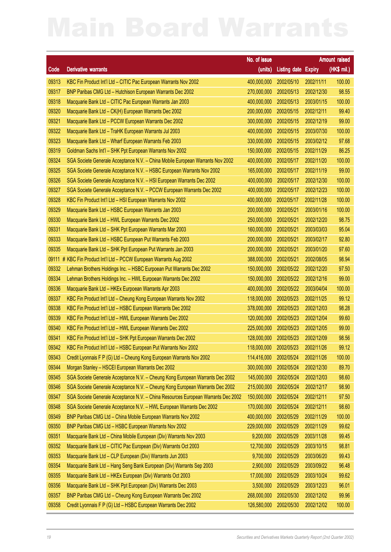|         |                                                                                   | No. of issue           |                            |            | <b>Amount raised</b> |
|---------|-----------------------------------------------------------------------------------|------------------------|----------------------------|------------|----------------------|
| Code    | <b>Derivative warrants</b>                                                        | (units)                | <b>Listing date Expiry</b> |            | (HK\$ mil.)          |
| 09313   | KBC Fin Product Int'l Ltd - CITIC Pac European Warrants Nov 2002                  | 400,000,000            | 2002/05/10                 | 2002/11/11 | 100.00               |
| 09317   | BNP Paribas CMG Ltd - Hutchison European Warrants Dec 2002                        | 270,000,000            | 2002/05/13                 | 2002/12/30 | 98.55                |
| 09318   | Macquarie Bank Ltd - CITIC Pac European Warrants Jan 2003                         | 400,000,000            | 2002/05/13                 | 2003/01/15 | 100.00               |
| 09320   | Macquarie Bank Ltd - CK(H) European Warrants Dec 2002                             | 200,000,000            | 2002/05/15                 | 2002/12/11 | 99.40                |
| 09321   | Macquarie Bank Ltd - PCCW European Warrants Dec 2002                              | 300,000,000            | 2002/05/15                 | 2002/12/19 | 99.00                |
| 09322   | Macquarie Bank Ltd - TraHK European Warrants Jul 2003                             | 400,000,000            | 2002/05/15                 | 2003/07/30 | 100.00               |
| 09323   | Macquarie Bank Ltd - Wharf European Warrants Feb 2003                             | 330,000,000            | 2002/05/15                 | 2003/02/12 | 97.68                |
| 09319   | Goldman Sachs Int'l - SHK Ppt European Warrants Nov 2002                          | 150,000,000            | 2002/05/15                 | 2002/11/29 | 86.25                |
| 09324   | SGA Societe Generale Acceptance N.V. - China Mobile European Warrants Nov 2002    | 400,000,000            | 2002/05/17                 | 2002/11/20 | 100.00               |
| 09325   | SGA Societe Generale Acceptance N.V. - HSBC European Warrants Nov 2002            | 165,000,000            | 2002/05/17                 | 2002/11/19 | 99.00                |
| 09326   | SGA Societe Generale Acceptance N.V. - HSI European Warrants Dec 2002             | 400,000,000            | 2002/05/17                 | 2002/12/30 | 100.00               |
| 09327   | SGA Societe Generale Acceptance N.V. - PCCW European Warrants Dec 2002            | 400,000,000            | 2002/05/17                 | 2002/12/23 | 100.00               |
| 09328   | KBC Fin Product Int'l Ltd - HSI European Warrants Nov 2002                        | 400,000,000            | 2002/05/17                 | 2002/11/28 | 100.00               |
| 09329   | Macquarie Bank Ltd - HSBC European Warrants Jan 2003                              | 200,000,000            | 2002/05/21                 | 2003/01/16 | 100.00               |
| 09330   | Macquarie Bank Ltd - HWL European Warrants Dec 2002                               | 250,000,000            | 2002/05/21                 | 2002/12/20 | 98.75                |
| 09331   | Macquarie Bank Ltd - SHK Ppt European Warrants Mar 2003                           | 160,000,000            | 2002/05/21                 | 2003/03/03 | 95.04                |
| 09333   | Macquarie Bank Ltd - HSBC European Put Warrants Feb 2003                          | 200,000,000            | 2002/05/21                 | 2003/02/17 | 92.80                |
| 09335   | Macquarie Bank Ltd - SHK Ppt European Put Warrants Jan 2003                       | 200,000,000            | 2002/05/21                 | 2003/01/20 | 97.60                |
| 09111 # | KBC Fin Product Int'l Ltd - PCCW European Warrants Aug 2002                       | 388,000,000            | 2002/05/21                 | 2002/08/05 | 98.94                |
| 09332   | Lehman Brothers Holdings Inc. - HSBC Eurpoean Put Warrants Dec 2002               | 150,000,000            | 2002/05/22                 | 2002/12/20 | 97.50                |
| 09334   | Lehman Brothers Holdings Inc. - HWL Eurpoean Warrants Dec 2002                    | 150,000,000            | 2002/05/22                 | 2002/12/16 | 99.00                |
| 09336   | Macquarie Bank Ltd - HKEx Eurpoean Warrants Apr 2003                              | 400,000,000            | 2002/05/22                 | 2003/04/04 | 100.00               |
| 09337   | KBC Fin Product Int'l Ltd - Cheung Kong European Warrants Nov 2002                | 118,000,000            | 2002/05/23                 | 2002/11/25 | 99.12                |
| 09338   | KBC Fin Product Int'l Ltd - HSBC European Warrants Dec 2002                       | 378,000,000            | 2002/05/23                 | 2002/12/03 | 98.28                |
| 09339   | KBC Fin Product Int'l Ltd - HWL European Warrants Dec 2002                        | 120,000,000            | 2002/05/23                 | 2002/12/04 | 99.60                |
| 09340   | KBC Fin Product Int'l Ltd - HWL European Warrants Dec 2002                        | 225,000,000            | 2002/05/23                 | 2002/12/05 | 99.00                |
| 09341   | KBC Fin Product Int'l Ltd - SHK Ppt European Warrants Dec 2002                    | 128,000,000            | 2002/05/23                 | 2002/12/09 | 98.56                |
| 09342   | KBC Fin Product Int'l Ltd - HSBC European Put Warrants Nov 2002                   | 118,000,000 2002/05/23 |                            | 2002/11/26 | 99.12                |
| 09343   | Credit Lyonnais F P (G) Ltd - Cheung Kong European Warrants Nov 2002              | 114,416,000            | 2002/05/24                 | 2002/11/26 | 100.00               |
| 09344   | Morgan Stanley - HSCEI European Warrants Dec 2002                                 | 300,000,000            | 2002/05/24                 | 2002/12/30 | 89.70                |
| 09345   | SGA Societe Generale Acceptance N.V. - Cheung Kong European Warrants Dec 2002     | 145,000,000            | 2002/05/24                 | 2002/12/03 | 98.60                |
| 09346   | SGA Societe Generale Acceptance N.V. - Cheung Kong European Warrants Dec 2002     | 215,000,000            | 2002/05/24                 | 2002/12/17 | 98.90                |
| 09347   | SGA Societe Generale Acceptance N.V. - China Resources European Warrants Dec 2002 | 150,000,000            | 2002/05/24                 | 2002/12/11 | 97.50                |
| 09348   | SGA Societe Generale Acceptance N.V. - HWL European Warrants Dec 2002             | 170,000,000            | 2002/05/24                 | 2002/12/11 | 98.60                |
| 09349   | BNP Paribas CMG Ltd - China Mobile European Warrants Nov 2002                     | 400,000,000            | 2002/05/29                 | 2002/11/29 | 100.00               |
| 09350   | BNP Paribas CMG Ltd - HSBC European Warrants Nov 2002                             | 229,000,000            | 2002/05/29                 | 2002/11/29 | 99.62                |
| 09351   | Macquarie Bank Ltd - China Mobile European (Div) Warrants Nov 2003                | 9,200,000              | 2002/05/29                 | 2003/11/28 | 99.45                |
| 09352   | Macquarie Bank Ltd - CITIC Pac European (Div) Warrants Oct 2003                   | 12,700,000             | 2002/05/29                 | 2003/10/15 | 98.81                |
| 09353   | Macquarie Bank Ltd - CLP European (Div) Warrants Jun 2003                         | 9,700,000              | 2002/05/29                 | 2003/06/20 | 99.43                |
| 09354   | Macquarie Bank Ltd - Hang Seng Bank European (Div) Warrants Sep 2003              | 2,900,000              | 2002/05/29                 | 2003/09/22 | 96.48                |
| 09355   | Macquarie Bank Ltd - HKEx European (Div) Warrants Oct 2003                        | 17,000,000             | 2002/05/29                 | 2003/10/24 | 99.62                |
| 09356   | Macquarie Bank Ltd - SHK Ppt European (Div) Warrants Dec 2003                     | 3,500,000              | 2002/05/29                 | 2003/12/23 | 96.01                |
| 09357   | BNP Paribas CMG Ltd - Cheung Kong European Warrants Dec 2002                      | 268,000,000            | 2002/05/30                 | 2002/12/02 | 99.96                |
| 09358   | Credit Lyonnais F P (G) Ltd - HSBC European Warrants Dec 2002                     | 126,580,000            | 2002/05/30                 | 2002/12/02 | 100.00               |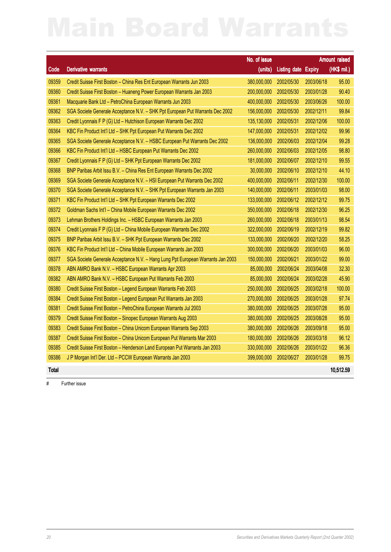|              |                                                                                 | No. of issue |                     |            | <b>Amount raised</b> |
|--------------|---------------------------------------------------------------------------------|--------------|---------------------|------------|----------------------|
| Code         | <b>Derivative warrants</b>                                                      | (units)      | Listing date Expiry |            | (HK\$ mil.)          |
| 09359        | Credit Suisse First Boston - China Res Ent European Warrants Jun 2003           | 380,000,000  | 2002/05/30          | 2003/06/18 | 95.00                |
| 09360        | Credit Suisse First Boston - Huaneng Power European Warrants Jan 2003           | 200,000,000  | 2002/05/30          | 2003/01/28 | 90.40                |
| 09361        | Macquarie Bank Ltd - PetroChina European Warrants Jun 2003                      | 400,000,000  | 2002/05/30          | 2003/06/26 | 100.00               |
| 09362        | SGA Societe Generale Acceptance N.V. - SHK Ppt European Put Warrants Dec 2002   | 156,000,000  | 2002/05/30          | 2002/12/11 | 99.84                |
| 09363        | Credit Lyonnais F P (G) Ltd - Hutchison European Warrants Dec 2002              | 135,130,000  | 2002/05/31          | 2002/12/06 | 100.00               |
| 09364        | KBC Fin Product Int'l Ltd - SHK Ppt European Put Warrants Dec 2002              | 147,000,000  | 2002/05/31          | 2002/12/02 | 99.96                |
| 09365        | SGA Societe Generale Acceptance N.V. - HSBC European Put Warrants Dec 2002      | 136,000,000  | 2002/06/03          | 2002/12/04 | 99.28                |
| 09366        | KBC Fin Product Int'l Ltd - HSBC European Put Warrants Dec 2002                 | 260,000,000  | 2002/06/03          | 2002/12/05 | 98.80                |
| 09367        | Credit Lyonnais F P (G) Ltd - SHK Ppt European Warrants Dec 2002                | 181,000,000  | 2002/06/07          | 2002/12/10 | 99.55                |
| 09368        | BNP Paribas Arbit Issu B.V. - China Res Ent European Warrants Dec 2002          | 30,000,000   | 2002/06/10          | 2002/12/10 | 44.10                |
| 09369        | SGA Societe Generale Acceptance N.V. - HSI European Put Warrants Dec 2002       | 400,000,000  | 2002/06/11          | 2002/12/30 | 100.00               |
| 09370        | SGA Societe Generale Acceptance N.V. – SHK Ppt European Warrants Jan 2003       | 140,000,000  | 2002/06/11          | 2003/01/03 | 98.00                |
| 09371        | KBC Fin Product Int'l Ltd - SHK Ppt European Warrants Dec 2002                  | 133,000,000  | 2002/06/12          | 2002/12/12 | 99.75                |
| 09372        | Goldman Sachs Int'l - China Mobile European Warrants Dec 2002                   | 350,000,000  | 2002/06/18          | 2002/12/30 | 96.25                |
| 09373        | Lehman Brothers Holdings Inc. - HSBC European Warrants Jan 2003                 | 260,000,000  | 2002/06/18          | 2003/01/13 | 98.54                |
| 09374        | Credit Lyonnais F P (G) Ltd - China Mobile European Warrants Dec 2002           | 322,000,000  | 2002/06/19          | 2002/12/19 | 99.82                |
| 09375        | BNP Paribas Arbit Issu B.V. - SHK Ppt European Warrants Dec 2002                | 133,000,000  | 2002/06/20          | 2002/12/20 | 58.25                |
| 09376        | KBC Fin Product Int'l Ltd - China Mobile European Warrants Jan 2003             | 300,000,000  | 2002/06/20          | 2003/01/03 | 96.00                |
| 09377        | SGA Societe Generale Acceptance N.V. - Hang Lung Ppt European Warrants Jan 2003 | 150,000,000  | 2002/06/21          | 2003/01/22 | 99.00                |
| 09378        | ABN AMRO Bank N.V. - HSBC European Warrants Apr 2003                            | 85,000,000   | 2002/06/24          | 2003/04/08 | 32.30                |
| 09382        | ABN AMRO Bank N.V. - HSBC European Put Warrants Feb 2003                        | 85,000,000   | 2002/06/24          | 2003/02/28 | 45.90                |
| 09380        | Credit Suisse First Boston - Legend European Warrants Feb 2003                  | 250,000,000  | 2002/06/25          | 2003/02/18 | 100.00               |
| 09384        | Credit Suisse First Boston - Legend European Put Warrants Jan 2003              | 270,000,000  | 2002/06/25          | 2003/01/28 | 97.74                |
| 09381        | Credit Suisse First Boston - PetroChina European Warrants Jul 2003              | 380,000,000  | 2002/06/25          | 2003/07/28 | 95.00                |
| 09379        | Credit Suisse First Boston - Sinopec European Warrants Aug 2003                 | 380,000,000  | 2002/06/25          | 2003/08/28 | 95.00                |
| 09383        | Credit Suisse First Boston - China Unicom European Warrants Sep 2003            | 380,000,000  | 2002/06/26          | 2003/09/18 | 95.00                |
| 09387        | Credit Suisse First Boston - China Unicom European Put Warrants Mar 2003        | 180,000,000  | 2002/06/26          | 2003/03/18 | 96.12                |
| 09385        | Credit Suisse First Boston - Henderson Land European Put Warrants Jan 2003      | 330,000,000  | 2002/06/26          | 2003/01/22 | 96.36                |
| 09386        | J P Morgan Int'l Der. Ltd - PCCW European Warrants Jan 2003                     | 399,000,000  | 2002/06/27          | 2003/01/28 | 99.75                |
| <b>Total</b> |                                                                                 |              |                     |            | 10,512.59            |

# Further issue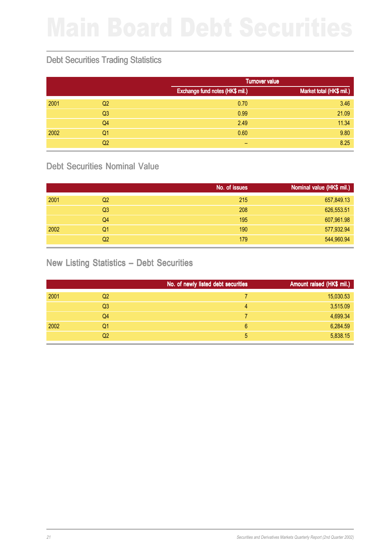## Debt Securities Trading Statistics

|      |                |                                 | <b>Turnover value</b>    |  |  |
|------|----------------|---------------------------------|--------------------------|--|--|
|      |                | Exchange fund notes (HK\$ mil.) | Market total (HK\$ mil.) |  |  |
| 2001 | Q <sub>2</sub> | 0.70                            | 3.46                     |  |  |
|      | Q <sub>3</sub> | 0.99                            | 21.09                    |  |  |
|      | Q <sub>4</sub> | 2.49                            | 11.34                    |  |  |
| 2002 | Q1             | 0.60                            | 9.80                     |  |  |
|      | Q2             | -                               | 8.25                     |  |  |

## Debt Securities Nominal Value

|      |                | No. of issues | Nominal value (HK\$ mil.) |
|------|----------------|---------------|---------------------------|
| 2001 | Q2             | 215           | 657,849.13                |
|      | Q <sub>3</sub> | 208           | 626,553.51                |
|      | Q4             | 195           | 607,961.98                |
| 2002 | Q1             | 190           | 577,932.94                |
|      | Q2             | 179           | 544,960.94                |

## New Listing Statistics – Debt Securities

|      |                | No. of newly listed debt securities | Amount raised (HK\$ mil.) |
|------|----------------|-------------------------------------|---------------------------|
| 2001 | Q2             |                                     | 15,030.53                 |
|      | Q <sub>3</sub> | 4                                   | 3,515.09                  |
|      | Q4             |                                     | 4,699.34                  |
| 2002 | Q1             | 6                                   | 6,284.59                  |
|      | Q2             | 5                                   | 5,838.15                  |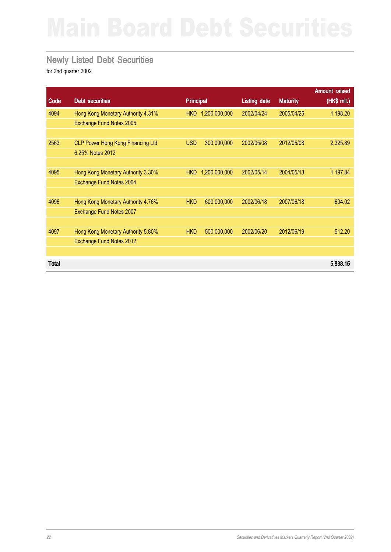## Newly Listed Debt Securities

|              |                                          |                  |               |                     |                 | <b>Amount raised</b> |
|--------------|------------------------------------------|------------------|---------------|---------------------|-----------------|----------------------|
| Code         | <b>Debt securities</b>                   | <b>Principal</b> |               | <b>Listing date</b> | <b>Maturity</b> | (HK\$ mil.)          |
| 4094         | Hong Kong Monetary Authority 4.31%       | <b>HKD</b>       | 1,200,000,000 | 2002/04/24          | 2005/04/25      | 1,198.20             |
|              | <b>Exchange Fund Notes 2005</b>          |                  |               |                     |                 |                      |
|              |                                          |                  |               |                     |                 |                      |
| 2563         | <b>CLP Power Hong Kong Financing Ltd</b> | <b>USD</b>       | 300,000,000   | 2002/05/08          | 2012/05/08      | 2,325.89             |
|              | 6.25% Notes 2012                         |                  |               |                     |                 |                      |
|              |                                          |                  |               |                     |                 |                      |
| 4095         | Hong Kong Monetary Authority 3.30%       | <b>HKD</b>       | 1,200,000,000 | 2002/05/14          | 2004/05/13      | 1,197.84             |
|              | Exchange Fund Notes 2004                 |                  |               |                     |                 |                      |
|              |                                          |                  |               |                     |                 |                      |
| 4096         | Hong Kong Monetary Authority 4.76%       | <b>HKD</b>       | 600,000,000   | 2002/06/18          | 2007/06/18      | 604.02               |
|              | Exchange Fund Notes 2007                 |                  |               |                     |                 |                      |
|              |                                          |                  |               |                     |                 |                      |
| 4097         | Hong Kong Monetary Authority 5.80%       | <b>HKD</b>       | 500,000,000   | 2002/06/20          | 2012/06/19      | 512.20               |
|              | Exchange Fund Notes 2012                 |                  |               |                     |                 |                      |
|              |                                          |                  |               |                     |                 |                      |
| <b>Total</b> |                                          |                  |               |                     |                 | 5,838.15             |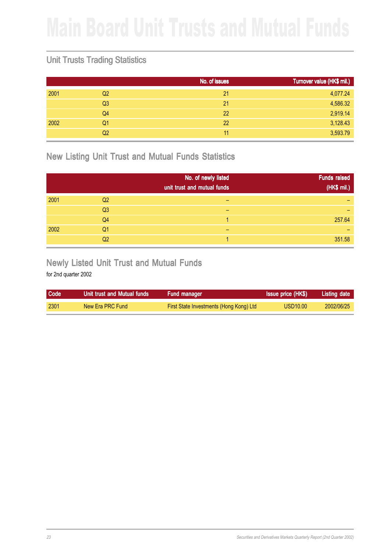## Unit Trusts Trading Statistics

|                | No. of issues | Turnover value (HK\$ mil.) |
|----------------|---------------|----------------------------|
| Q <sub>2</sub> | 21            | 4,077.24                   |
| Q <sub>3</sub> | 21            | 4,586.32                   |
| Q <sub>4</sub> | 22            | 2,919.14                   |
| Q1             | 22            | 3,128.43                   |
| Q <sub>2</sub> | 11            | 3,593.79                   |
|                |               |                            |

New Listing Unit Trust and Mutual Funds Statistics

|      |                | No. of newly listed<br>unit trust and mutual funds | <b>Funds raised</b><br>(HK\$ mil.) |
|------|----------------|----------------------------------------------------|------------------------------------|
| 2001 | Q <sub>2</sub> |                                                    |                                    |
|      | Q <sub>3</sub> | -                                                  |                                    |
|      | Q <sub>4</sub> |                                                    | 257.64                             |
| 2002 | Q <sub>1</sub> | -                                                  |                                    |
|      | Q <sub>2</sub> |                                                    | 351.58                             |

## Newly Listed Unit Trust and Mutual Funds

| <b>Code</b> | Unit trust and Mutual funds | Fund manager                            | <b>Issue price (HK\$)</b> | Listing date |
|-------------|-----------------------------|-----------------------------------------|---------------------------|--------------|
| 2301        | New Era PRC Fund            | First State Investments (Hong Kong) Ltd | USD <sub>10.00</sub>      | 2002/06/25   |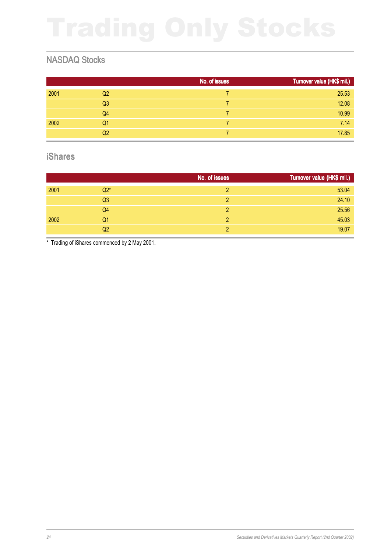## NASDAQ Stocks

|      |                | No. of issues | Turnover value (HK\$ mil.) |
|------|----------------|---------------|----------------------------|
| 2001 | Q <sub>2</sub> |               | 25.53                      |
|      | Q <sub>3</sub> |               | 12.08                      |
|      | Q <sub>4</sub> |               | 10.99                      |
| 2002 | Q <sub>1</sub> |               | 7.14                       |
|      | Q <sub>2</sub> |               | 17.85                      |

### iShares

|      |                | No. of issues | Turnover value (HK\$ mil.) |
|------|----------------|---------------|----------------------------|
| 2001 | $Q2*$          | 2             | 53.04                      |
|      | Q <sub>3</sub> | 2             | 24.10                      |
|      | Q <sub>4</sub> | 2             | 25.56                      |
| 2002 | Q1             | 2             | 45.03                      |
|      | Q2             | っ             | 19.07                      |

\* Trading of iShares commenced by 2 May 2001.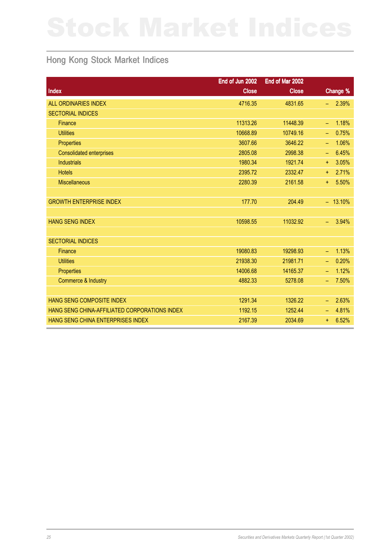## Hong Kong Stock Market Indices

|                                               | End of Jun 2002 | End of Mar 2002 |                    |
|-----------------------------------------------|-----------------|-----------------|--------------------|
| Index                                         | <b>Close</b>    | <b>Close</b>    | Change %           |
| <b>ALL ORDINARIES INDEX</b>                   | 4716.35         | 4831.65         | 2.39%              |
| <b>SECTORIAL INDICES</b>                      |                 |                 |                    |
| Finance                                       | 11313.26        | 11448.39        | 1.18%<br>$\equiv$  |
| <b>Utilities</b>                              | 10668.89        | 10749.16        | 0.75%<br>÷,        |
| Properties                                    | 3607.66         | 3646.22         | 1.06%<br>÷         |
| <b>Consolidated enterprises</b>               | 2805.08         | 2998.38         | 6.45%<br>$\equiv$  |
| <b>Industrials</b>                            | 1980.34         | 1921.74         | 3.05%<br>$\ddot{}$ |
| <b>Hotels</b>                                 | 2395.72         | 2332.47         | 2.71%<br>Ŧ.        |
| <b>Miscellaneous</b>                          | 2280.39         | 2161.58         | 5.50%<br>$\ddot{}$ |
|                                               |                 |                 |                    |
| <b>GROWTH ENTERPRISE INDEX</b>                | 177.70          | 204.49          | $-13.10%$          |
|                                               |                 |                 |                    |
| <b>HANG SENG INDEX</b>                        | 10598.55        | 11032.92        | 3.94%<br>÷,        |
|                                               |                 |                 |                    |
| <b>SECTORIAL INDICES</b>                      |                 |                 |                    |
| <b>Finance</b>                                | 19080.83        | 19298.93        | 1.13%<br>÷,        |
| <b>Utilities</b>                              | 21938.30        | 21981.71        | 0.20%<br>÷         |
| Properties                                    | 14006.68        | 14165.37        | 1.12%<br>÷         |
| Commerce & Industry                           | 4882.33         | 5278.08         | 7.50%<br>÷         |
|                                               |                 |                 |                    |
| <b>HANG SENG COMPOSITE INDEX</b>              | 1291.34         | 1326.22         | 2.63%<br>Ξ,        |
| HANG SENG CHINA-AFFILIATED CORPORATIONS INDEX | 1192.15         | 1252.44         | 4.81%<br>÷,        |
| HANG SENG CHINA ENTERPRISES INDEX             | 2167.39         | 2034.69         | 6.52%<br>÷.        |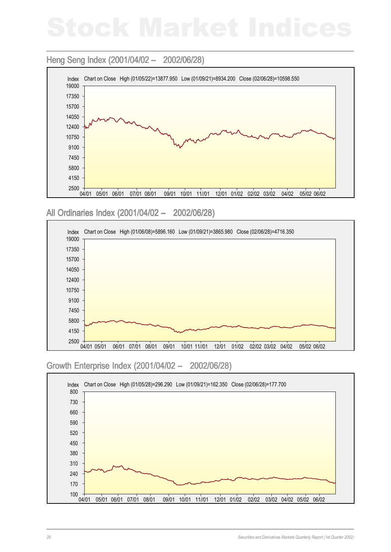## Heng Seng Index (2001/04/02 - 2002/06/28)



All Ordinaries Index (2001/04/02 - 2002/06/28)



### Growth Enterprise Index (2001/04/02 – 2002/06/28) – 2002/06/28)

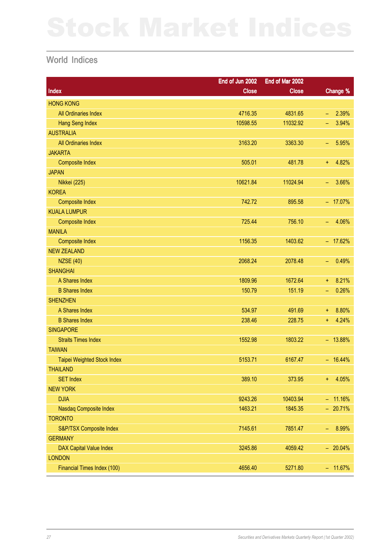## World Indices

|                                | End of Jun 2002 | End of Mar 2002 |                            |
|--------------------------------|-----------------|-----------------|----------------------------|
| Index                          | <b>Close</b>    | <b>Close</b>    | Change %                   |
| <b>HONG KONG</b>               |                 |                 |                            |
| All Ordinaries Index           | 4716.35         | 4831.65         | 2.39%<br>$\equiv$          |
| <b>Hang Seng Index</b>         | 10598.55        | 11032.92        | 3.94%<br>-                 |
| <b>AUSTRALIA</b>               |                 |                 |                            |
| All Ordinaries Index           | 3163.20         | 3363.30         | 5.95%<br>$\qquad \qquad -$ |
| <b>JAKARTA</b>                 |                 |                 |                            |
| <b>Composite Index</b>         | 505.01          | 481.78          | 4.82%<br>Ŧ.                |
| <b>JAPAN</b>                   |                 |                 |                            |
| Nikkei (225)                   | 10621.84        | 11024.94        | 3.66%<br>$\qquad \qquad -$ |
| <b>KOREA</b>                   |                 |                 |                            |
| <b>Composite Index</b>         | 742.72          | 895.58          | $-17.07%$                  |
| <b>KUALA LUMPUR</b>            |                 |                 |                            |
| <b>Composite Index</b>         | 725.44          | 756.10          | 4.06%<br>$\equiv$          |
| <b>MANILA</b>                  |                 |                 |                            |
| <b>Composite Index</b>         | 1156.35         | 1403.62         | $-17.62%$                  |
| <b>NEW ZEALAND</b>             |                 |                 |                            |
| <b>NZSE (40)</b>               | 2068.24         | 2078.48         | 0.49%<br>$\qquad \qquad -$ |
| <b>SHANGHAI</b>                |                 |                 |                            |
| A Shares Index                 | 1809.96         | 1672.64         | 8.21%<br>$\ddagger$        |
| <b>B Shares Index</b>          | 150.79          | 151.19          | 0.26%<br>÷,                |
| <b>SHENZHEN</b>                |                 |                 |                            |
| A Shares Index                 | 534.97          | 491.69          | 8.80%<br>$\ddagger$        |
| <b>B Shares Index</b>          | 238.46          | 228.75          | 4.24%<br>Ŧ.                |
| <b>SINGAPORE</b>               |                 |                 |                            |
| <b>Straits Times Index</b>     | 1552.98         | 1803.22         | $-13.88%$                  |
| <b>TAIWAN</b>                  |                 |                 |                            |
| Taipei Weighted Stock Index    | 5153.71         | 6167.47         | $-16.44%$                  |
| <b>THAILAND</b>                |                 |                 |                            |
| <b>SET Index</b>               | 389.10          | 373.95          | 4.05%<br>$+$               |
| <b>NEW YORK</b>                |                 |                 |                            |
| <b>DJIA</b>                    | 9243.26         | 10403.94        | $-11.16%$                  |
| Nasdaq Composite Index         | 1463.21         | 1845.35         | $-20.71%$                  |
| <b>TORONTO</b>                 |                 |                 |                            |
| S&P/TSX Composite Index        | 7145.61         | 7851.47         | 8.99%<br>÷,                |
| <b>GERMANY</b>                 |                 |                 |                            |
| <b>DAX Capital Value Index</b> | 3245.86         | 4059.42         | $-20.04\%$                 |
| <b>LONDON</b>                  |                 |                 |                            |
| Financial Times Index (100)    | 4656.40         | 5271.80         | $-11.67%$                  |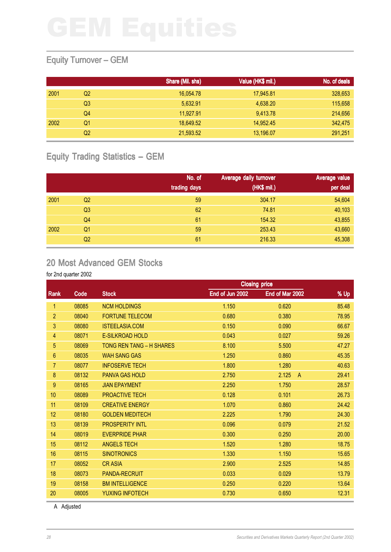## Equity Turnover – GEM

|      |                | Share (Mil. shs) | Value (HK\$ mil.) | No. of deals |
|------|----------------|------------------|-------------------|--------------|
| 2001 | Q2             | 16,054.78        | 17,945.81         | 328,653      |
|      | Q3             | 5.632.91         | 4,638.20          | 115,658      |
|      | Q4             | 11,927.91        | 9,413.78          | 214,656      |
| 2002 | Q1             | 18.649.52        | 14.952.45         | 342,475      |
|      | Q <sub>2</sub> | 21,593.52        | 13,196.07         | 291,251      |

## Equity Trading Statistics – GEM

|      |                | No. of<br>trading days | Average daily turnover<br>(HK\$ mil.) | Average value<br>per deal |
|------|----------------|------------------------|---------------------------------------|---------------------------|
| 2001 | Q <sub>2</sub> | 59                     | 304.17                                | 54,604                    |
|      | Q <sub>3</sub> | 62                     | 74.81                                 | 40,103                    |
|      | Q4             | 61                     | 154.32                                | 43,855                    |
| 2002 | Q1             | 59                     | 253.43                                | 43,660                    |
|      | Q <sub>2</sub> | 61                     | 216.33                                | 45,308                    |

## 20 Most Advanced GEM Stocks

### for 2nd quarter 2002

|                  |       |                          | <b>Closing price</b> |                         |       |
|------------------|-------|--------------------------|----------------------|-------------------------|-------|
| Rank             | Code  | <b>Stock</b>             | End of Jun 2002      | End of Mar 2002         | % Up  |
| 1                | 08085 | <b>NCM HOLDINGS</b>      | 1.150                | 0.620                   | 85.48 |
| $\overline{2}$   | 08040 | <b>FORTUNE TELECOM</b>   | 0.680                | 0.380                   | 78.95 |
| 3                | 08080 | <b>ISTEELASIA.COM</b>    | 0.150                | 0.090                   | 66.67 |
| 4                | 08071 | <b>E-SILKROAD HOLD</b>   | 0.043                | 0.027                   | 59.26 |
| 5                | 08069 | TONG REN TANG - H SHARES | 8.100                | 5.500                   | 47.27 |
| 6                | 08035 | <b>WAH SANG GAS</b>      | 1.250                | 0.860                   | 45.35 |
| $\overline{7}$   | 08077 | <b>INFOSERVE TECH</b>    | 1.800                | 1.280                   | 40.63 |
| 8                | 08132 | <b>PANVA GAS HOLD</b>    | 2.750                | 2.125<br>$\overline{A}$ | 29.41 |
| $\boldsymbol{9}$ | 08165 | <b>JIAN EPAYMENT</b>     | 2.250                | 1.750                   | 28.57 |
| 10               | 08089 | <b>PROACTIVE TECH</b>    | 0.128                | 0.101                   | 26.73 |
| 11               | 08109 | <b>CREATIVE ENERGY</b>   | 1.070                | 0.860                   | 24.42 |
| 12               | 08180 | <b>GOLDEN MEDITECH</b>   | 2.225                | 1.790                   | 24.30 |
| 13               | 08139 | <b>PROSPERITY INTL</b>   | 0.096                | 0.079                   | 21.52 |
| 14               | 08019 | <b>EVERPRIDE PHAR</b>    | 0.300                | 0.250                   | 20.00 |
| 15               | 08112 | <b>ANGELS TECH</b>       | 1.520                | 1.280                   | 18.75 |
| 16               | 08115 | <b>SINOTRONICS</b>       | 1.330                | 1.150                   | 15.65 |
| 17               | 08052 | <b>CRASIA</b>            | 2.900                | 2.525                   | 14.85 |
| 18               | 08073 | <b>PANDA-RECRUIT</b>     | 0.033                | 0.029                   | 13.79 |
| 19               | 08158 | <b>BM INTELLIGENCE</b>   | 0.250                | 0.220                   | 13.64 |
| 20               | 08005 | YUXING INFOTECH          | 0.730                | 0.650                   | 12.31 |
|                  |       |                          |                      |                         |       |

A Adjusted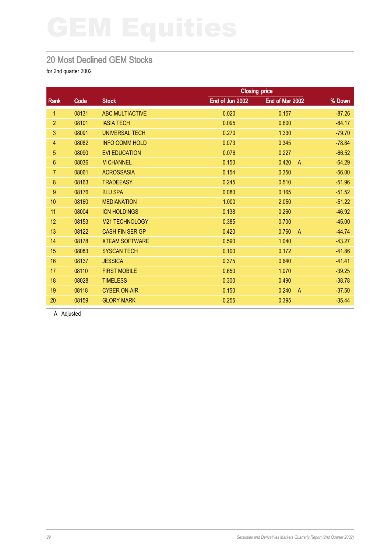## 20 Most Declined GEM Stocks

for 2nd quarter 2002

|       | <b>Closing price</b>   |                 |                         |          |
|-------|------------------------|-----------------|-------------------------|----------|
| Code  | <b>Stock</b>           | End of Jun 2002 | End of Mar 2002         | % Down   |
| 08131 | <b>ABC MULTIACTIVE</b> | 0.020           | 0.157                   | $-87.26$ |
| 08101 | <b>IASIA TECH</b>      | 0.095           | 0.600                   | $-84.17$ |
| 08091 | <b>UNIVERSAL TECH</b>  | 0.270           | 1.330                   | $-79.70$ |
| 08082 | <b>INFO COMM HOLD</b>  | 0.073           | 0.345                   | $-78.84$ |
| 08090 | <b>EVI EDUCATION</b>   | 0.076           | 0.227                   | $-66.52$ |
| 08036 | <b>M CHANNEL</b>       | 0.150           | 0.420<br>$\overline{A}$ | $-64.29$ |
| 08061 | <b>ACROSSASIA</b>      | 0.154           | 0.350                   | $-56.00$ |
| 08163 | <b>TRADEEASY</b>       | 0.245           | 0.510                   | $-51.96$ |
| 08176 | <b>BLU SPA</b>         | 0.080           | 0.165                   | $-51.52$ |
| 08160 | <b>MEDIANATION</b>     | 1.000           | 2.050                   | $-51.22$ |
| 08004 | <b>ICN HOLDINGS</b>    | 0.138           | 0.260                   | $-46.92$ |
| 08153 | M21 TECHNOLOGY         | 0.385           | 0.700                   | $-45.00$ |
| 08122 | <b>CASH FIN SER GP</b> | 0.420           | 0.760<br>$\overline{A}$ | $-44.74$ |
| 08178 | <b>XTEAM SOFTWARE</b>  | 0.590           | 1.040                   | $-43.27$ |
| 08083 | <b>SYSCAN TECH</b>     | 0.100           | 0.172                   | $-41.86$ |
| 08137 | <b>JESSICA</b>         | 0.375           | 0.640                   | $-41.41$ |
| 08110 | <b>FIRST MOBILE</b>    | 0.650           | 1.070                   | $-39.25$ |
| 08028 | <b>TIMELESS</b>        | 0.300           | 0.490                   | $-38.78$ |
| 08118 | <b>CYBER ON-AIR</b>    | 0.150           | 0.240<br>$\overline{A}$ | $-37.50$ |
| 08159 | <b>GLORY MARK</b>      | 0.255           | 0.395                   | $-35.44$ |
|       |                        |                 |                         |          |

A Adjusted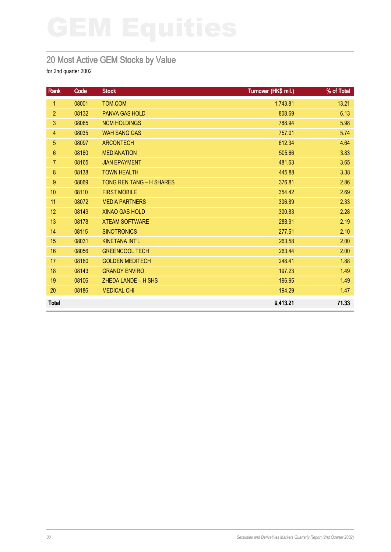## 20 Most Active GEM Stocks by Value

| Rank            | Code  | <b>Stock</b>             | Turnover (HK\$ mil.) | % of Total |
|-----------------|-------|--------------------------|----------------------|------------|
| $\mathbf{1}$    | 08001 | <b>TOM.COM</b>           | 1,743.81             | 13.21      |
| $\overline{2}$  | 08132 | <b>PANVA GAS HOLD</b>    | 808.69               | 6.13       |
| 3               | 08085 | <b>NCM HOLDINGS</b>      | 788.94               | 5.98       |
| $\overline{4}$  | 08035 | <b>WAH SANG GAS</b>      | 757.01               | 5.74       |
| 5               | 08097 | <b>ARCONTECH</b>         | 612.34               | 4.64       |
| 6               | 08160 | <b>MEDIANATION</b>       | 505.66               | 3.83       |
| $\overline{7}$  | 08165 | <b>JIAN EPAYMENT</b>     | 481.63               | 3.65       |
| 8               | 08138 | <b>TOWN HEALTH</b>       | 445.88               | 3.38       |
| 9               | 08069 | TONG REN TANG - H SHARES | 376.81               | 2.86       |
| 10 <sub>1</sub> | 08110 | <b>FIRST MOBILE</b>      | 354.42               | 2.69       |
| 11              | 08072 | <b>MEDIA PARTNERS</b>    | 306.89               | 2.33       |
| 12              | 08149 | <b>XINAO GAS HOLD</b>    | 300.83               | 2.28       |
| 13              | 08178 | <b>XTEAM SOFTWARE</b>    | 288.91               | 2.19       |
| 14              | 08115 | <b>SINOTRONICS</b>       | 277.51               | 2.10       |
| 15              | 08031 | <b>KINETANA INT'L</b>    | 263.58               | 2.00       |
| 16              | 08056 | <b>GREENCOOL TECH</b>    | 263.44               | 2.00       |
| 17              | 08180 | <b>GOLDEN MEDITECH</b>   | 248.41               | 1.88       |
| 18              | 08143 | <b>GRANDY ENVIRO</b>     | 197.23               | 1.49       |
| 19              | 08106 | ZHEDA LANDE - H SHS      | 196.95               | 1.49       |
| 20              | 08186 | <b>MEDICAL CHI</b>       | 194.29               | 1.47       |
| <b>Total</b>    |       |                          | 9,413.21             | 71.33      |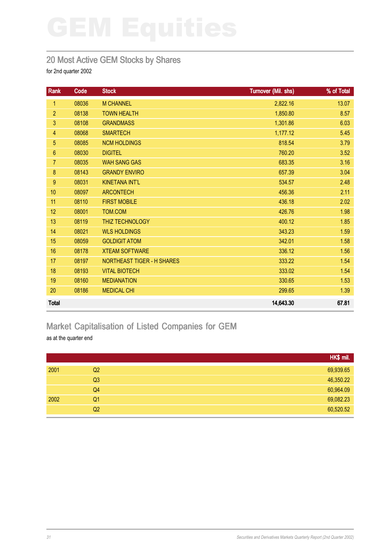## 20 Most Active GEM Stocks by Shares

for 2nd quarter 2002

| Rank            | Code  | <b>Stock</b>                      | Turnover (Mil. shs) | % of Total |
|-----------------|-------|-----------------------------------|---------------------|------------|
| 1               | 08036 | <b>M CHANNEL</b>                  | 2,822.16            | 13.07      |
| $\overline{2}$  | 08138 | <b>TOWN HEALTH</b>                | 1,850.80            | 8.57       |
| 3               | 08108 | <b>GRANDMASS</b>                  | 1,301.86            | 6.03       |
| 4               | 08068 | <b>SMARTECH</b>                   | 1,177.12            | 5.45       |
| 5               | 08085 | <b>NCM HOLDINGS</b>               | 818.54              | 3.79       |
| $6\phantom{.}6$ | 08030 | <b>DIGITEL</b>                    | 760.20              | 3.52       |
| $\overline{7}$  | 08035 | <b>WAH SANG GAS</b>               | 683.35              | 3.16       |
| 8               | 08143 | <b>GRANDY ENVIRO</b>              | 657.39              | 3.04       |
| $9\,$           | 08031 | <b>KINETANA INT'L</b>             | 534.57              | 2.48       |
| 10              | 08097 | <b>ARCONTECH</b>                  | 456.36              | 2.11       |
| 11              | 08110 | <b>FIRST MOBILE</b>               | 436.18              | 2.02       |
| 12              | 08001 | TOM.COM                           | 426.76              | 1.98       |
| 13              | 08119 | <b>THIZ TECHNOLOGY</b>            | 400.12              | 1.85       |
| 14              | 08021 | <b>WLS HOLDINGS</b>               | 343.23              | 1.59       |
| 15              | 08059 | <b>GOLDIGIT ATOM</b>              | 342.01              | 1.58       |
| 16              | 08178 | <b>XTEAM SOFTWARE</b>             | 336.12              | 1.56       |
| 17              | 08197 | <b>NORTHEAST TIGER - H SHARES</b> | 333.22              | 1.54       |
| 18              | 08193 | <b>VITAL BIOTECH</b>              | 333.02              | 1.54       |
| 19              | 08160 | <b>MEDIANATION</b>                | 330.65              | 1.53       |
| 20              | 08186 | <b>MEDICAL CHI</b>                | 299.65              | 1.39       |
| <b>Total</b>    |       |                                   | 14,643.30           | 67.81      |

# Market Capitalisation of Listed Companies for GEM

as at the quarter end

|      |                | HK\$ mil. |
|------|----------------|-----------|
| 2001 | Q2             | 69,939.65 |
|      | Q3             | 46,350.22 |
|      | Q4             | 60,964.09 |
| 2002 | Q <sub>1</sub> | 69,082.23 |
|      | Q <sub>2</sub> | 60,520.52 |
|      |                |           |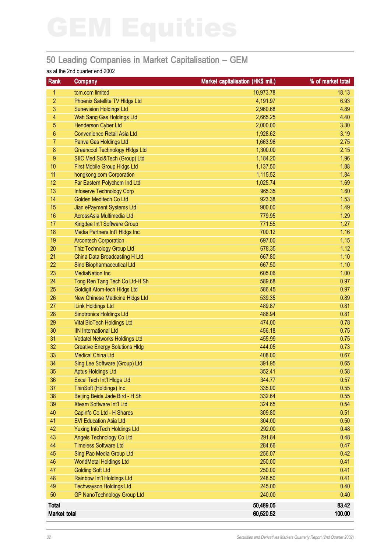## 50 Leading Companies in Market Capitalisation – GEM

### as at the 2nd quarter end 2002

| Rank             | Company                                                           | Market capitalisation (HK\$ mil.) | % of market total |
|------------------|-------------------------------------------------------------------|-----------------------------------|-------------------|
| 1.               | tom.com limited                                                   | 10,973.78                         | 18.13             |
| $\overline{c}$   | Phoenix Satellite TV HIdgs Ltd                                    | 4,191.97                          | 6.93              |
| 3                | <b>Sunevision Holdings Ltd</b>                                    | 2,960.68                          | 4.89              |
| 4                | Wah Sang Gas Holdings Ltd                                         | 2,665.25                          | 4.40              |
| 5                | <b>Henderson Cyber Ltd</b>                                        | 2,000.00                          | 3.30              |
| 6                | <b>Convenience Retail Asia Ltd</b>                                | 1,928.62                          | 3.19              |
| 7                | Panva Gas Holdings Ltd                                            | 1,663.96                          | 2.75              |
| $\bf 8$          | <b>Greencool Technology Hidgs Ltd</b>                             | 1,300.00                          | 2.15              |
| $\boldsymbol{9}$ | SIIC Med Sci&Tech (Group) Ltd                                     | 1,184.20                          | 1.96              |
| 10               | First Mobile Group HIdgs Ltd                                      | 1,137.50                          | 1.88              |
| 11               | hongkong.com Corporation                                          | 1,115.52                          | 1.84              |
| 12               | Far Eastern Polychem Ind Ltd                                      | 1,025.74                          | 1.69              |
| 13               | <b>Infoserve Technology Corp</b>                                  | 965.35                            | 1.60              |
| 14               | Golden Meditech Co Ltd                                            | 923.38                            | 1.53              |
| 15               | Jian ePayment Systems Ltd                                         | 900.00                            | 1.49              |
| 16               | AcrossAsia Multimedia Ltd                                         | 779.95                            | 1.29              |
| 17               | Kingdee Int'l Software Group                                      | 771.55                            | 1.27              |
| 18               | Media Partners Int'l HIdgs Inc                                    | 700.12                            | 1.16              |
| 19               | <b>Arcontech Corporation</b>                                      | 697.00                            | 1.15              |
| 20               | Thiz Technology Group Ltd                                         | 678.35                            | 1.12              |
| 21               | China Data Broadcasting H Ltd                                     | 667.80                            | 1.10              |
| 22               | Sino Biopharmaceutical Ltd                                        | 667.50                            | 1.10              |
| 23               | <b>MediaNation Inc</b>                                            | 605.06                            | 1.00              |
| 24               | Tong Ren Tang Tech Co Ltd-H Sh                                    | 589.68                            | 0.97              |
| 25               | <b>Goldigit Atom-tech HIdgs Ltd</b>                               | 586.45                            | 0.97              |
| 26               | New Chinese Medicine HIdgs Ltd                                    | 539.35                            | 0.89              |
| 27               | iLink Holdings Ltd                                                | 489.87                            | 0.81              |
| 28               | <b>Sinotronics Holdings Ltd</b>                                   | 488.94                            | 0.81              |
| 29               | <b>Vital BioTech Holdings Ltd</b>                                 | 474.00                            | 0.78              |
| 30               | <b>IIN International Ltd</b>                                      | 456.18                            | 0.75              |
| 31               | <b>Vodatel Networks Holdings Ltd</b>                              | 455.99                            | 0.75              |
| 32               | <b>Creative Energy Solutions HIdg</b>                             | 444.05                            | 0.73              |
| 33               | <b>Medical China Ltd</b>                                          | 408.00                            | 0.67              |
| 34               | Sing Lee Software (Group) Ltd                                     | 391.95                            | 0.65              |
| 35               | <b>Aptus Holdings Ltd</b>                                         | 352.41                            | 0.58              |
| 36               | Excel Tech Int'l Hidgs Ltd                                        | 344.77                            | 0.57              |
| 37               | ThinSoft (Holdings) Inc                                           | 335.00                            | 0.55              |
| 38               | Beijing Beida Jade Bird - H Sh<br><b>Xteam Software Int'l Ltd</b> | 332.64                            | 0.55              |
| 39               |                                                                   | 324.65                            | 0.54              |
| 40<br>41         | Capinfo Co Ltd - H Shares<br><b>EVI Education Asia Ltd</b>        | 309.80<br>304.00                  | 0.51              |
| 42               | <b>Yuxing InfoTech Holdings Ltd</b>                               | 292.00                            | 0.50<br>0.48      |
| 43               | <b>Angels Technology Co Ltd</b>                                   | 291.84                            |                   |
| 44               | <b>Timeless Software Ltd</b>                                      | 284.66                            | 0.48<br>0.47      |
| 45               |                                                                   | 256.07                            | 0.42              |
| 46               | Sing Pao Media Group Ltd<br><b>WorldMetal Holdings Ltd</b>        | 250.00                            | 0.41              |
| 47               | <b>Golding Soft Ltd</b>                                           | 250.00                            | 0.41              |
| 48               | Rainbow Int'l Holdings Ltd                                        | 248.50                            | 0.41              |
| 49               | <b>Techwayson Holdings Ltd</b>                                    | 245.00                            | 0.40              |
| 50               | <b>GP NanoTechnology Group Ltd</b>                                | 240.00                            | 0.40              |
|                  |                                                                   |                                   |                   |
| <b>Total</b>     |                                                                   | 50,489.05                         | 83.42             |
| Market total     |                                                                   | 60,520.52                         | 100.00            |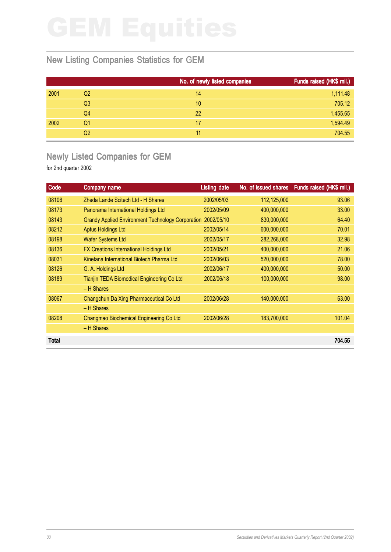## New Listing Companies Statistics for GEM

|      |                | No. of newly listed companies | Funds raised (HK\$ mil.) |
|------|----------------|-------------------------------|--------------------------|
| 2001 | Q2             | 14                            | 1,111.48                 |
|      | Q <sub>3</sub> | 10                            | 705.12                   |
|      | Q4             | 22                            | 1,455.65                 |
| 2002 | Q1             | 17                            | 1,594.49                 |
|      | Q <sub>2</sub> | 11                            | 704.55                   |

## Newly Listed Companies for GEM

| Code  | Company name                                             | <b>Listing date</b> |             | No. of issued shares Funds raised (HK\$ mil.) |
|-------|----------------------------------------------------------|---------------------|-------------|-----------------------------------------------|
| 08106 | Zheda Lande Scitech Ltd - H Shares                       | 2002/05/03          | 112,125,000 | 93.06                                         |
| 08173 | Panorama International Holdings Ltd                      | 2002/05/09          | 400,000,000 | 33.00                                         |
| 08143 | <b>Grandy Applied Environment Technology Corporation</b> | 2002/05/10          | 830,000,000 | 64.40                                         |
| 08212 | <b>Aptus Holdings Ltd</b>                                | 2002/05/14          | 600,000,000 | 70.01                                         |
| 08198 | <b>Wafer Systems Ltd</b>                                 | 2002/05/17          | 282,268,000 | 32.98                                         |
| 08136 | <b>FX Creations International Holdings Ltd</b>           | 2002/05/21          | 400,000,000 | 21.06                                         |
| 08031 | Kinetana International Biotech Pharma Ltd                | 2002/06/03          | 520,000,000 | 78.00                                         |
| 08126 | G. A. Holdings Ltd                                       | 2002/06/17          | 400,000,000 | 50.00                                         |
| 08189 | Tianjin TEDA Biomedical Engineering Co Ltd               | 2002/06/18          | 100,000,000 | 98.00                                         |
|       | – H Shares                                               |                     |             |                                               |
| 08067 | Changchun Da Xing Pharmaceutical Co Ltd                  | 2002/06/28          | 140,000,000 | 63.00                                         |
|       | $-$ H Shares                                             |                     |             |                                               |
| 08208 | Changmao Biochemical Engineering Co Ltd                  | 2002/06/28          | 183,700,000 | 101.04                                        |
|       | - H Shares                                               |                     |             |                                               |
| Total |                                                          |                     |             | 704.55                                        |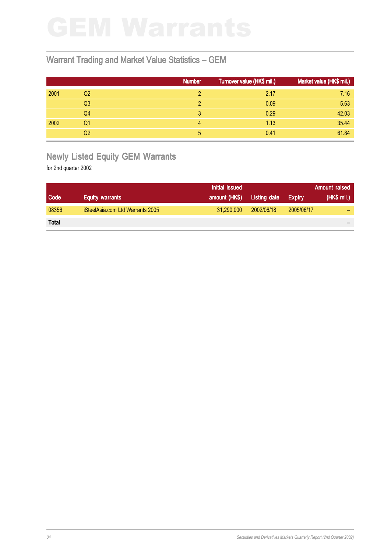## Warrant Trading and Market Value Statistics – GEM

|      |                | <b>Number</b> | Turnover value (HK\$ mil.) | Market value (HK\$ mil.) |
|------|----------------|---------------|----------------------------|--------------------------|
| 2001 | Q <sub>2</sub> |               | 2.17                       | 7.16                     |
|      | Q <sub>3</sub> |               | 0.09                       | 5.63                     |
|      | Q4             |               | 0.29                       | 42.03                    |
| 2002 | Q1             | 4             | 1.13                       | 35.44                    |
|      | Q2             | 5             | 0.41                       | 61.84                    |

## Newly Listed Equity GEM Warrants

|              |                                  | Initial issued |              |               | Amount raised |
|--------------|----------------------------------|----------------|--------------|---------------|---------------|
| <b>Code</b>  | <b>Equity warrants</b>           | amount (HK\$)  | Listing date | <b>Expiry</b> | (HK\$ mi.)    |
| 08356        | iSteelAsia.com Ltd Warrants 2005 | 31.290.000     | 2002/06/18   | 2005/06/17    |               |
| <b>Total</b> |                                  |                |              |               |               |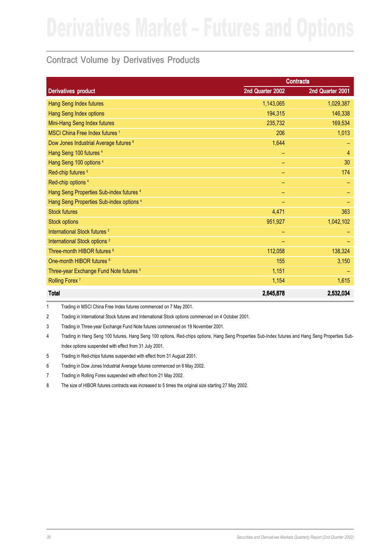## Contract Volume by Derivatives Products

|                                                   |                  | <b>Contracts</b> |
|---------------------------------------------------|------------------|------------------|
| <b>Derivatives product</b>                        | 2nd Quarter 2002 | 2nd Quarter 2001 |
| <b>Hang Seng Index futures</b>                    | 1,143,065        | 1,029,387        |
| Hang Seng Index options                           | 194,315          | 146,338          |
| Mini-Hang Seng Index futures                      | 235,732          | 169,534          |
| MSCI China Free Index futures <sup>1</sup>        | 206              | 1,013            |
| Dow Jones Industrial Average futures <sup>6</sup> | 1,644            |                  |
| Hang Seng 100 futures 4                           | -                | $\overline{4}$   |
| Hang Seng 100 options <sup>4</sup>                |                  | 30               |
| Red-chip futures <sup>5</sup>                     | -                | 174              |
| Red-chip options <sup>4</sup>                     |                  |                  |
| Hang Seng Properties Sub-index futures 4          | -                |                  |
| Hang Seng Properties Sub-index options 4          | -                |                  |
| <b>Stock futures</b>                              | 4,471            | 363              |
| <b>Stock options</b>                              | 951,927          | 1,042,102        |
| International Stock futures <sup>2</sup>          | -                |                  |
| International Stock options <sup>2</sup>          |                  |                  |
| Three-month HIBOR futures 8                       | 112,058          | 138,324          |
| One-month HIBOR futures 8                         | 155              | 3,150            |
| Three-year Exchange Fund Note futures 3           | 1,151            |                  |
| Rolling Forex <sup>7</sup>                        | 1,154            | 1,615            |
| <b>Total</b>                                      | 2,645,878        | 2,532,034        |

1 Trading in MSCI China Free Index futures commenced on 7 May 2001.

2 Trading in International Stock futures and International Stock options commenced on 4 October 2001.

3 Trading in Three-year Exchange Fund Note futures commenced on 19 November 2001.

4 Trading in Hang Seng 100 futures, Hang Seng 100 options, Red-chips options, Hang Seng Properties Sub-Index futures and Hang Seng Properties Sub-Index options suspended with effect from 31 July 2001.

5 Trading in Red-chips futures suspended with effect from 31 August 2001.

6 Trading in Dow Jones Industrial Average futures commenced on 6 May 2002.

7 Trading in Rolling Forex suspended with effect from 21 May 2002.

8 The size of HIBOR futures contracts was increased to 5 times the original size starting 27 May 2002.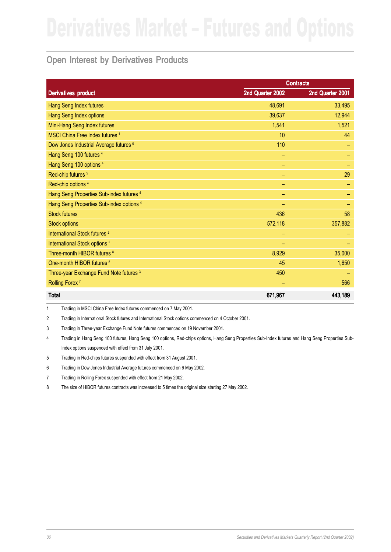## Open Interest by Derivatives Products

|                                                   |                  | <b>Contracts</b> |
|---------------------------------------------------|------------------|------------------|
| <b>Derivatives product</b>                        | 2nd Quarter 2002 | 2nd Quarter 2001 |
| Hang Seng Index futures                           | 48,691           | 33,495           |
| Hang Seng Index options                           | 39,637           | 12,944           |
| Mini-Hang Seng Index futures                      | 1,541            | 1,521            |
| MSCI China Free Index futures <sup>1</sup>        | 10               | 44               |
| Dow Jones Industrial Average futures <sup>6</sup> | 110              |                  |
| Hang Seng 100 futures 4                           | -                |                  |
| Hang Seng 100 options <sup>4</sup>                | -                |                  |
| Red-chip futures <sup>5</sup>                     |                  | 29               |
| Red-chip options <sup>4</sup>                     |                  |                  |
| Hang Seng Properties Sub-index futures 4          |                  |                  |
| Hang Seng Properties Sub-index options 4          |                  |                  |
| <b>Stock futures</b>                              | 436              | 58               |
| <b>Stock options</b>                              | 572,118          | 357,882          |
| International Stock futures <sup>2</sup>          | -                |                  |
| International Stock options <sup>2</sup>          |                  |                  |
| Three-month HIBOR futures 8                       | 8,929            | 35,000           |
| One-month HIBOR futures <sup>8</sup>              | 45               | 1,650            |
| Three-year Exchange Fund Note futures 3           | 450              |                  |
| Rolling Forex <sup>7</sup>                        |                  | 566              |
| <b>Total</b>                                      | 671,967          | 443,189          |

1 Trading in MSCI China Free Index futures commenced on 7 May 2001.

2 Trading in International Stock futures and International Stock options commenced on 4 October 2001.

3 Trading in Three-year Exchange Fund Note futures commenced on 19 November 2001.

4 Trading in Hang Seng 100 futures, Hang Seng 100 options, Red-chips options, Hang Seng Properties Sub-Index futures and Hang Seng Properties Sub-Index options suspended with effect from 31 July 2001.

5 Trading in Red-chips futures suspended with effect from 31 August 2001.

6 Trading in Dow Jones Industrial Average futures commenced on 6 May 2002.

7 Trading in Rolling Forex suspended with effect from 21 May 2002.

8 The size of HIBOR futures contracts was increased to 5 times the original size starting 27 May 2002.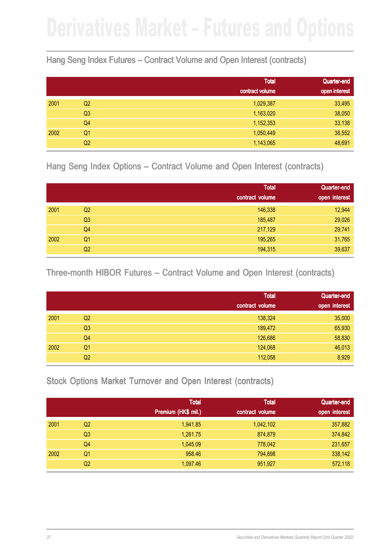## Hang Seng Index Futures – Contract Volume and Open Interest (contracts)

|      |                | <b>Total</b>    | <b>Quarter-end</b> |
|------|----------------|-----------------|--------------------|
|      |                | contract volume | open interest      |
| 2001 | Q <sub>2</sub> | 1,029,387       | 33,495             |
|      | Q <sub>3</sub> | 1,163,020       | 38,050             |
|      | Q4             | 1,152,353       | 33,138             |
| 2002 | Q1             | 1,050,449       | 38,552             |
|      | Q <sub>2</sub> | 1,143,065       | 48,691             |

Hang Seng Index Options – Contract Volume and Open Interest (contracts)

|      |                | <b>Total</b>    | Quarter-end   |
|------|----------------|-----------------|---------------|
|      |                | contract volume | open interest |
| 2001 | Q <sub>2</sub> | 146,338         | 12,944        |
|      | Q <sub>3</sub> | 185,487         | 29,026        |
|      | Q4             | 217,129         | 29,741        |
| 2002 | Q <sub>1</sub> | 195,265         | 31,765        |
|      | Q <sub>2</sub> | 194,315         | 39,637        |

Three-month HIBOR Futures – Contract Volume and Open Interest (contracts)

|      |                | <b>Total</b>    | Quarter-end   |
|------|----------------|-----------------|---------------|
|      |                | contract volume | open interest |
| 2001 | Q <sub>2</sub> | 138,324         | 35,000        |
|      | Q <sub>3</sub> | 189,472         | 65,930        |
|      | Q4             | 126,686         | 58,830        |
| 2002 | Q <sub>1</sub> | 124,068         | 46,013        |
|      | Q <sub>2</sub> | 112,058         | 8,929         |

Stock Options Market Turnover and Open Interest (contracts)

|      |                | <b>Total</b>        | <b>Total</b>    | Quarter-end   |
|------|----------------|---------------------|-----------------|---------------|
|      |                | Premium (HK\$ mil.) | contract volume | open interest |
| 2001 | Q <sub>2</sub> | 1,941.85            | 1,042,102       | 357,882       |
|      | Q <sub>3</sub> | 1,261.75            | 874,879         | 374,842       |
|      | Q4             | 1,045.09            | 778,042         | 231,657       |
| 2002 | Q1             | 958.46              | 794,898         | 338,142       |
|      | Q2             | 1,097.46            | 951,927         | 572,118       |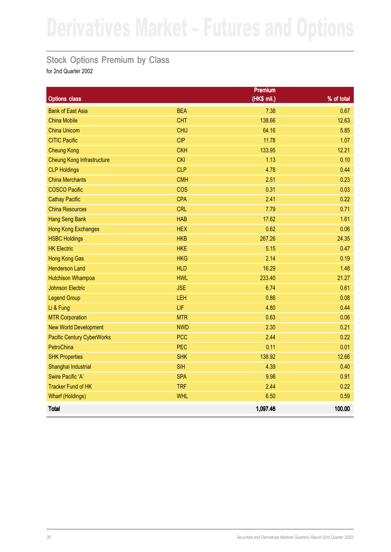## Stock Options Premium by Class

|                                   |            | Premium     |            |
|-----------------------------------|------------|-------------|------------|
| <b>Options class</b>              |            | (HK\$ mil.) | % of total |
| <b>Bank of East Asia</b>          | <b>BEA</b> | 7.38        | 0.67       |
| <b>China Mobile</b>               | <b>CHT</b> | 138.66      | 12.63      |
| <b>China Unicom</b>               | <b>CHU</b> | 64.16       | 5.85       |
| <b>CITIC Pacific</b>              | <b>CIP</b> | 11.78       | 1.07       |
| <b>Cheung Kong</b>                | <b>CKH</b> | 133.95      | 12.21      |
| <b>Cheung Kong Infrastructure</b> | <b>CKI</b> | 1.13        | 0.10       |
| <b>CLP Holdings</b>               | <b>CLP</b> | 4.78        | 0.44       |
| <b>China Merchants</b>            | <b>CMH</b> | 2.51        | 0.23       |
| <b>COSCO Pacific</b>              | <b>COS</b> | 0.31        | 0.03       |
| <b>Cathay Pacific</b>             | <b>CPA</b> | 2.41        | 0.22       |
| <b>China Resources</b>            | <b>CRL</b> | 7.79        | 0.71       |
| <b>Hang Seng Bank</b>             | <b>HAB</b> | 17.62       | 1.61       |
| <b>Hong Kong Exchanges</b>        | <b>HEX</b> | 0.62        | 0.06       |
| <b>HSBC Holdings</b>              | <b>HKB</b> | 267.26      | 24.35      |
| <b>HK Electric</b>                | <b>HKE</b> | 5.15        | 0.47       |
| <b>Hong Kong Gas</b>              | <b>HKG</b> | 2.14        | 0.19       |
| <b>Henderson Land</b>             | <b>HLD</b> | 16.29       | 1.48       |
| <b>Hutchison Whampoa</b>          | <b>HWL</b> | 233.40      | 21.27      |
| <b>Johnson Electric</b>           | <b>JSE</b> | 6.74        | 0.61       |
| <b>Legend Group</b>               | LEH        | 0.86        | 0.08       |
| Li & Fung                         | LIF        | 4.80        | 0.44       |
| <b>MTR Corporation</b>            | <b>MTR</b> | 0.63        | 0.06       |
| <b>New World Development</b>      | <b>NWD</b> | 2.30        | 0.21       |
| <b>Pacific Century CyberWorks</b> | <b>PCC</b> | 2.44        | 0.22       |
| PetroChina                        | <b>PEC</b> | 0.11        | 0.01       |
| <b>SHK Properties</b>             | <b>SHK</b> | 138.92      | 12.66      |
| Shanghai Industrial               | <b>SIH</b> | 4.39        | 0.40       |
| Swire Pacific 'A'                 | <b>SPA</b> | 9.98        | 0.91       |
| <b>Tracker Fund of HK</b>         | <b>TRF</b> | 2.44        | 0.22       |
| <b>Wharf (Holdings)</b>           | <b>WHL</b> | 6.50        | 0.59       |
| <b>Total</b>                      |            | 1,097.46    | 100.00     |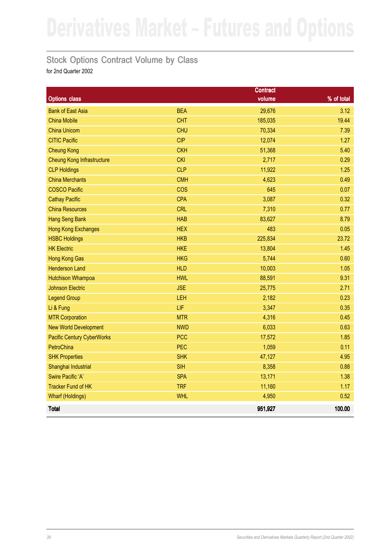## Stock Options Contract Volume by Class

|                                   |            | <b>Contract</b> |            |
|-----------------------------------|------------|-----------------|------------|
| <b>Options class</b>              |            | volume          | % of total |
| <b>Bank of East Asia</b>          | <b>BEA</b> | 29,676          | 3.12       |
| <b>China Mobile</b>               | <b>CHT</b> | 185,035         | 19.44      |
| <b>China Unicom</b>               | <b>CHU</b> | 70,334          | 7.39       |
| <b>CITIC Pacific</b>              | <b>CIP</b> | 12,074          | 1.27       |
| <b>Cheung Kong</b>                | <b>CKH</b> | 51,368          | 5.40       |
| <b>Cheung Kong Infrastructure</b> | <b>CKI</b> | 2,717           | 0.29       |
| <b>CLP Holdings</b>               | <b>CLP</b> | 11,922          | 1.25       |
| <b>China Merchants</b>            | <b>CMH</b> | 4,623           | 0.49       |
| <b>COSCO Pacific</b>              | <b>COS</b> | 645             | 0.07       |
| <b>Cathay Pacific</b>             | <b>CPA</b> | 3,087           | 0.32       |
| <b>China Resources</b>            | <b>CRL</b> | 7,310           | 0.77       |
| <b>Hang Seng Bank</b>             | <b>HAB</b> | 83,627          | 8.79       |
| <b>Hong Kong Exchanges</b>        | <b>HEX</b> | 483             | 0.05       |
| <b>HSBC Holdings</b>              | <b>HKB</b> | 225,834         | 23.72      |
| <b>HK Electric</b>                | <b>HKE</b> | 13,804          | 1.45       |
| <b>Hong Kong Gas</b>              | <b>HKG</b> | 5,744           | 0.60       |
| <b>Henderson Land</b>             | <b>HLD</b> | 10,003          | 1.05       |
| <b>Hutchison Whampoa</b>          | <b>HWL</b> | 88,591          | 9.31       |
| <b>Johnson Electric</b>           | <b>JSE</b> | 25,775          | 2.71       |
| <b>Legend Group</b>               | LEH        | 2,182           | 0.23       |
| Li & Fung                         | LIF        | 3,347           | 0.35       |
| <b>MTR Corporation</b>            | <b>MTR</b> | 4,316           | 0.45       |
| <b>New World Development</b>      | <b>NWD</b> | 6,033           | 0.63       |
| <b>Pacific Century CyberWorks</b> | <b>PCC</b> | 17,572          | 1.85       |
| PetroChina                        | <b>PEC</b> | 1,059           | 0.11       |
| <b>SHK Properties</b>             | <b>SHK</b> | 47,127          | 4.95       |
| Shanghai Industrial               | <b>SIH</b> | 8,358           | 0.88       |
| <b>Swire Pacific 'A'</b>          | <b>SPA</b> | 13,171          | 1.38       |
| <b>Tracker Fund of HK</b>         | <b>TRF</b> | 11,160          | 1.17       |
| <b>Wharf (Holdings)</b>           | <b>WHL</b> | 4,950           | 0.52       |
| <b>Total</b>                      |            | 951,927         | 100.00     |